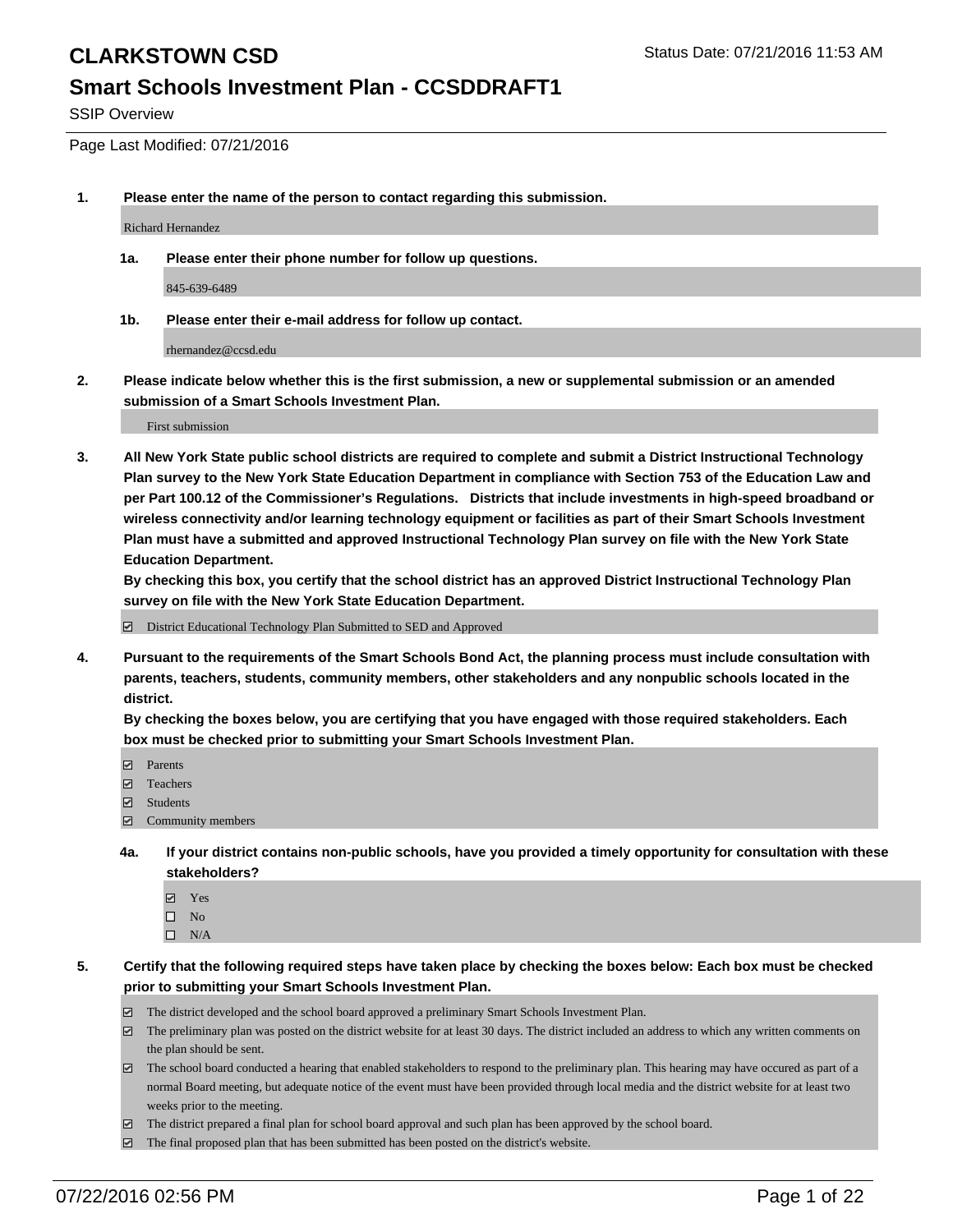#### **Smart Schools Investment Plan - CCSDDRAFT1**

SSIP Overview

Page Last Modified: 07/21/2016

**1. Please enter the name of the person to contact regarding this submission.**

Richard Hernandez

**1a. Please enter their phone number for follow up questions.**

845-639-6489

**1b. Please enter their e-mail address for follow up contact.**

rhernandez@ccsd.edu

**2. Please indicate below whether this is the first submission, a new or supplemental submission or an amended submission of a Smart Schools Investment Plan.**

First submission

**3. All New York State public school districts are required to complete and submit a District Instructional Technology Plan survey to the New York State Education Department in compliance with Section 753 of the Education Law and per Part 100.12 of the Commissioner's Regulations. Districts that include investments in high-speed broadband or wireless connectivity and/or learning technology equipment or facilities as part of their Smart Schools Investment Plan must have a submitted and approved Instructional Technology Plan survey on file with the New York State Education Department.** 

**By checking this box, you certify that the school district has an approved District Instructional Technology Plan survey on file with the New York State Education Department.**

District Educational Technology Plan Submitted to SED and Approved

**4. Pursuant to the requirements of the Smart Schools Bond Act, the planning process must include consultation with parents, teachers, students, community members, other stakeholders and any nonpublic schools located in the district.** 

**By checking the boxes below, you are certifying that you have engaged with those required stakeholders. Each box must be checked prior to submitting your Smart Schools Investment Plan.**

- **Parents**
- Teachers
- $\blacksquare$  Students
- Community members
- **4a. If your district contains non-public schools, have you provided a timely opportunity for consultation with these stakeholders?**
	- Yes  $\square$  No
	- $\square$  N/A
- **5. Certify that the following required steps have taken place by checking the boxes below: Each box must be checked prior to submitting your Smart Schools Investment Plan.**
	- The district developed and the school board approved a preliminary Smart Schools Investment Plan.
	- $\boxdot$  The preliminary plan was posted on the district website for at least 30 days. The district included an address to which any written comments on the plan should be sent.
	- $\Box$  The school board conducted a hearing that enabled stakeholders to respond to the preliminary plan. This hearing may have occured as part of a normal Board meeting, but adequate notice of the event must have been provided through local media and the district website for at least two weeks prior to the meeting.
	- The district prepared a final plan for school board approval and such plan has been approved by the school board.
	- $\boxdot$  The final proposed plan that has been submitted has been posted on the district's website.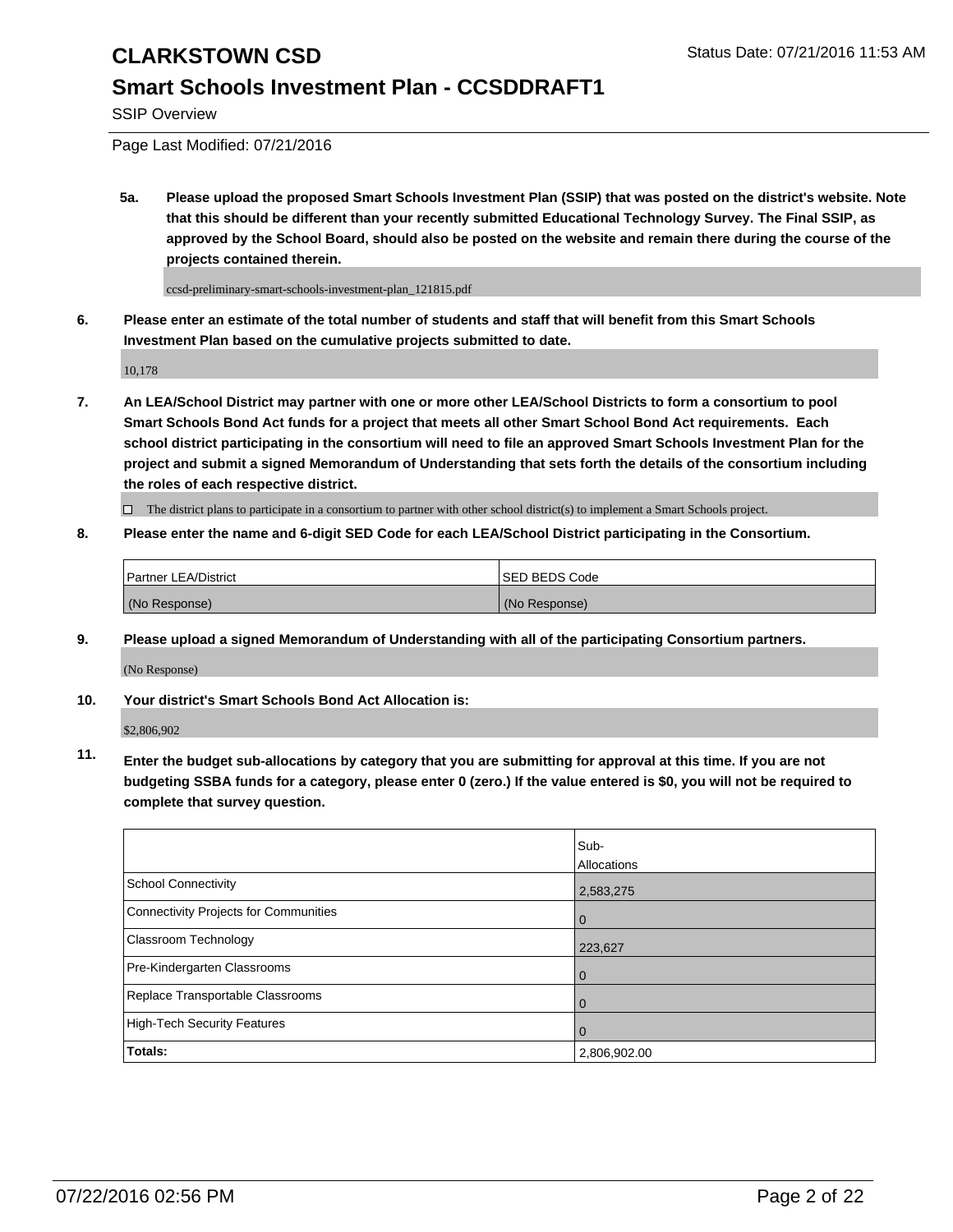### **Smart Schools Investment Plan - CCSDDRAFT1**

SSIP Overview

Page Last Modified: 07/21/2016

**5a. Please upload the proposed Smart Schools Investment Plan (SSIP) that was posted on the district's website. Note that this should be different than your recently submitted Educational Technology Survey. The Final SSIP, as approved by the School Board, should also be posted on the website and remain there during the course of the projects contained therein.**

ccsd-preliminary-smart-schools-investment-plan\_121815.pdf

**6. Please enter an estimate of the total number of students and staff that will benefit from this Smart Schools Investment Plan based on the cumulative projects submitted to date.**

10,178

**7. An LEA/School District may partner with one or more other LEA/School Districts to form a consortium to pool Smart Schools Bond Act funds for a project that meets all other Smart School Bond Act requirements. Each school district participating in the consortium will need to file an approved Smart Schools Investment Plan for the project and submit a signed Memorandum of Understanding that sets forth the details of the consortium including the roles of each respective district.**

 $\Box$  The district plans to participate in a consortium to partner with other school district(s) to implement a Smart Schools project.

#### **8. Please enter the name and 6-digit SED Code for each LEA/School District participating in the Consortium.**

| <b>Partner LEA/District</b> | <b>ISED BEDS Code</b> |
|-----------------------------|-----------------------|
| (No Response)               | (No Response)         |

**9. Please upload a signed Memorandum of Understanding with all of the participating Consortium partners.**

(No Response)

**10. Your district's Smart Schools Bond Act Allocation is:**

\$2,806,902

**11. Enter the budget sub-allocations by category that you are submitting for approval at this time. If you are not budgeting SSBA funds for a category, please enter 0 (zero.) If the value entered is \$0, you will not be required to complete that survey question.**

|                                       | Sub-         |
|---------------------------------------|--------------|
|                                       | Allocations  |
| <b>School Connectivity</b>            | 2,583,275    |
| Connectivity Projects for Communities | $\Omega$     |
| Classroom Technology                  | 223,627      |
| Pre-Kindergarten Classrooms           | $\Omega$     |
| Replace Transportable Classrooms      | $\Omega$     |
| High-Tech Security Features           | $\Omega$     |
| <b>Totals:</b>                        | 2,806,902.00 |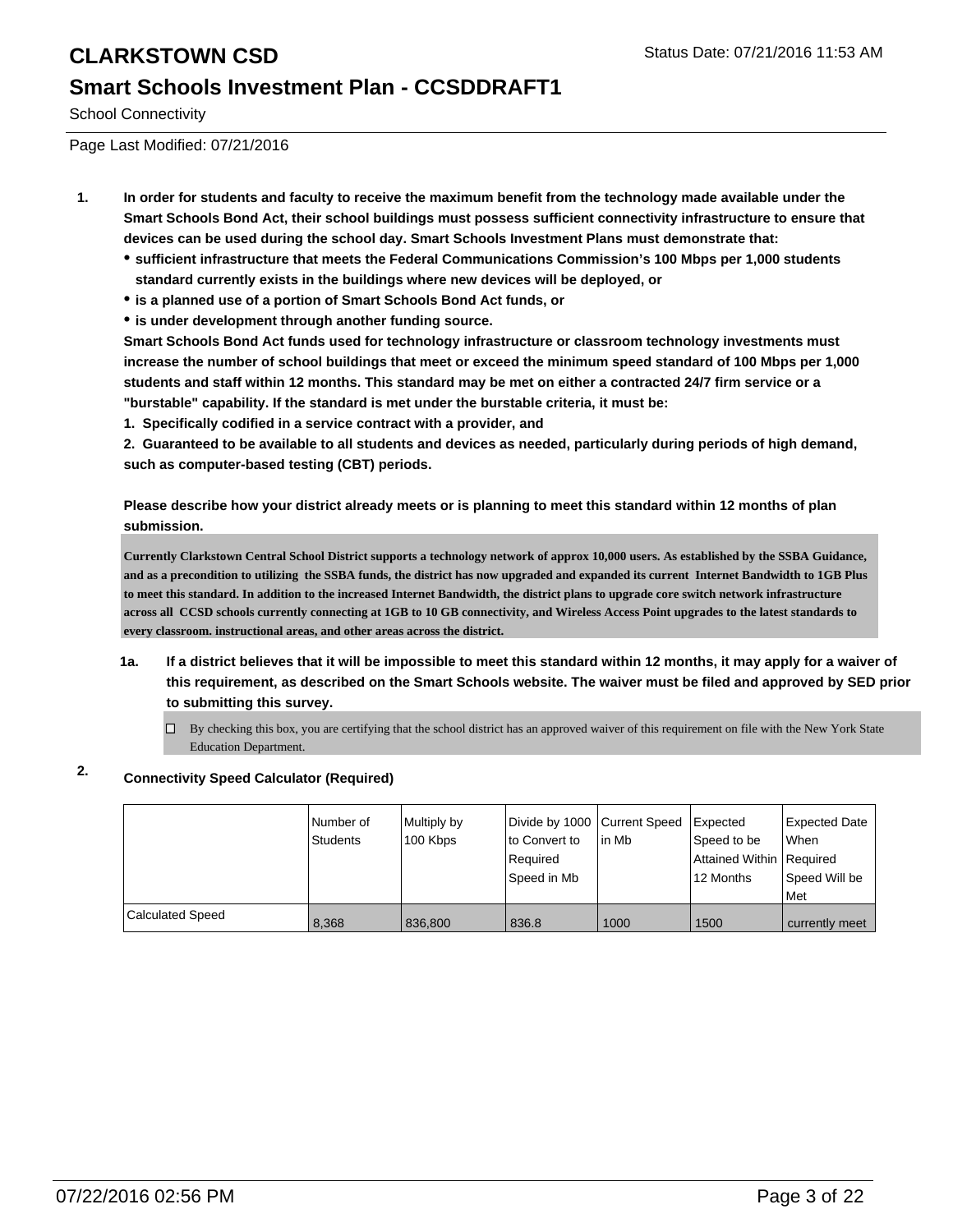### **Smart Schools Investment Plan - CCSDDRAFT1**

School Connectivity

Page Last Modified: 07/21/2016

- **1. In order for students and faculty to receive the maximum benefit from the technology made available under the Smart Schools Bond Act, their school buildings must possess sufficient connectivity infrastructure to ensure that devices can be used during the school day. Smart Schools Investment Plans must demonstrate that:**
	- **sufficient infrastructure that meets the Federal Communications Commission's 100 Mbps per 1,000 students standard currently exists in the buildings where new devices will be deployed, or**
	- **is a planned use of a portion of Smart Schools Bond Act funds, or**
	- **is under development through another funding source.**

**Smart Schools Bond Act funds used for technology infrastructure or classroom technology investments must increase the number of school buildings that meet or exceed the minimum speed standard of 100 Mbps per 1,000 students and staff within 12 months. This standard may be met on either a contracted 24/7 firm service or a "burstable" capability. If the standard is met under the burstable criteria, it must be:**

**1. Specifically codified in a service contract with a provider, and**

**2. Guaranteed to be available to all students and devices as needed, particularly during periods of high demand, such as computer-based testing (CBT) periods.**

**Please describe how your district already meets or is planning to meet this standard within 12 months of plan submission.**

**Currently Clarkstown Central School District supports a technology network of approx 10,000 users. As established by the SSBA Guidance, and as a precondition to utilizing the SSBA funds, the district has now upgraded and expanded its current Internet Bandwidth to 1GB Plus to meet this standard. In addition to the increased Internet Bandwidth, the district plans to upgrade core switch network infrastructure across all CCSD schools currently connecting at 1GB to 10 GB connectivity, and Wireless Access Point upgrades to the latest standards to every classroom. instructional areas, and other areas across the district.**

- **1a. If a district believes that it will be impossible to meet this standard within 12 months, it may apply for a waiver of this requirement, as described on the Smart Schools website. The waiver must be filed and approved by SED prior to submitting this survey.**
	- $\Box$  By checking this box, you are certifying that the school district has an approved waiver of this requirement on file with the New York State Education Department.

### **2. Connectivity Speed Calculator (Required)**

|                         | INumber of<br>Students | Multiply by<br>100 Kbps | Divide by 1000 Current Speed<br>to Convert to<br>Required<br>Sbeed in Mb | lin Mb | Expected<br>Speed to be<br>Attained Within Required<br>12 Months | Expected Date<br><b>When</b><br>Speed Will be<br><b>Met</b> |
|-------------------------|------------------------|-------------------------|--------------------------------------------------------------------------|--------|------------------------------------------------------------------|-------------------------------------------------------------|
| <b>Calculated Speed</b> | 8.368                  | 836.800                 | 836.8                                                                    | 1000   | 1500                                                             | currently meet                                              |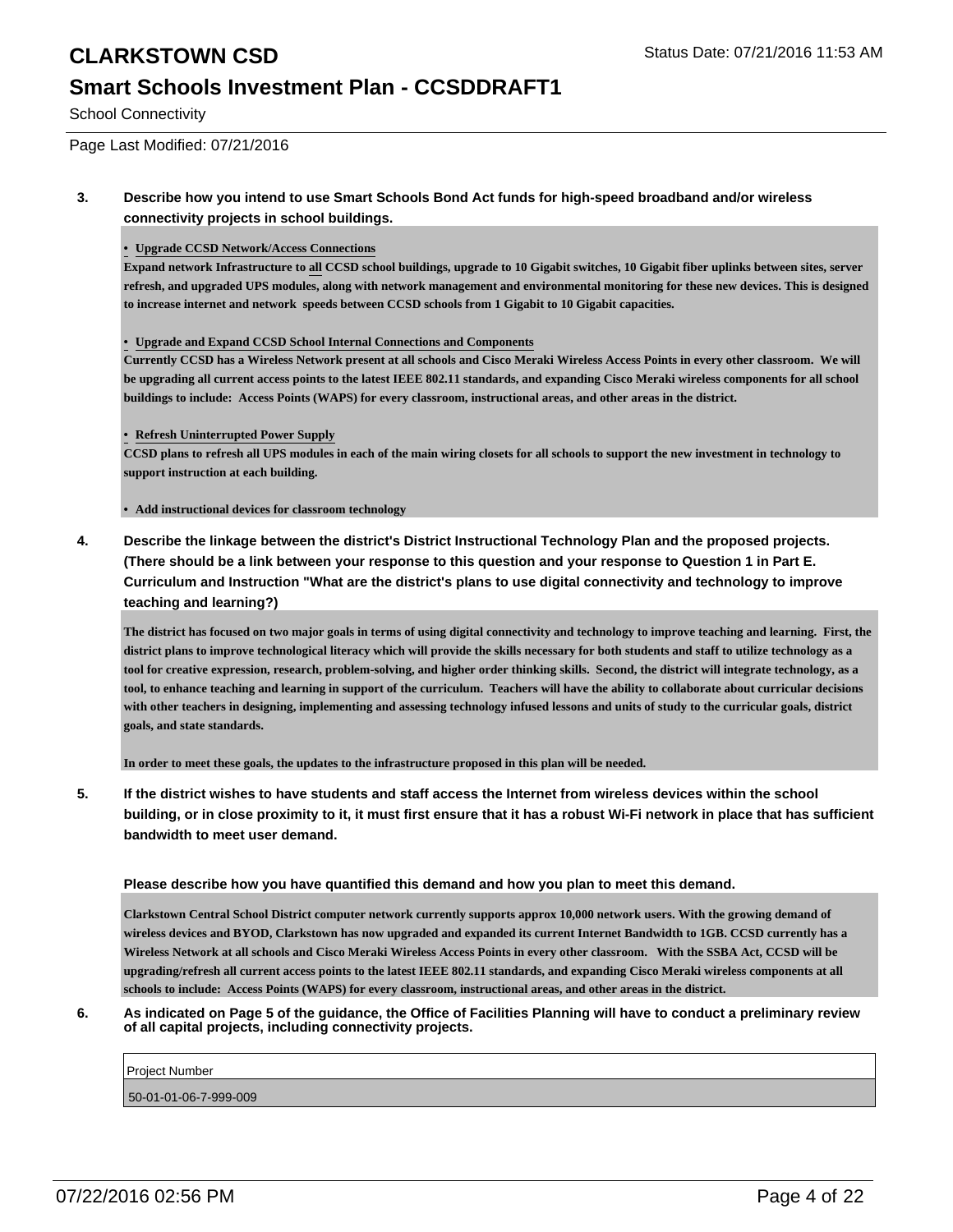#### **Smart Schools Investment Plan - CCSDDRAFT1**

School Connectivity

Page Last Modified: 07/21/2016

#### **3. Describe how you intend to use Smart Schools Bond Act funds for high-speed broadband and/or wireless connectivity projects in school buildings.**

**• Upgrade CCSD Network/Access Connections**

**Expand network Infrastructure to all CCSD school buildings, upgrade to 10 Gigabit switches, 10 Gigabit fiber uplinks between sites, server refresh, and upgraded UPS modules, along with network management and environmental monitoring for these new devices. This is designed to increase internet and network speeds between CCSD schools from 1 Gigabit to 10 Gigabit capacities.**

#### **• Upgrade and Expand CCSD School Internal Connections and Components**

**Currently CCSD has a Wireless Network present at all schools and Cisco Meraki Wireless Access Points in every other classroom. We will be upgrading all current access points to the latest IEEE 802.11 standards, and expanding Cisco Meraki wireless components for all school buildings to include: Access Points (WAPS) for every classroom, instructional areas, and other areas in the district.**

#### **• Refresh Uninterrupted Power Supply**

**CCSD plans to refresh all UPS modules in each of the main wiring closets for all schools to support the new investment in technology to support instruction at each building.**

**• Add instructional devices for classroom technology**

**4. Describe the linkage between the district's District Instructional Technology Plan and the proposed projects. (There should be a link between your response to this question and your response to Question 1 in Part E. Curriculum and Instruction "What are the district's plans to use digital connectivity and technology to improve teaching and learning?)**

**The district has focused on two major goals in terms of using digital connectivity and technology to improve teaching and learning. First, the district plans to improve technological literacy which will provide the skills necessary for both students and staff to utilize technology as a tool for creative expression, research, problem-solving, and higher order thinking skills. Second, the district will integrate technology, as a tool, to enhance teaching and learning in support of the curriculum. Teachers will have the ability to collaborate about curricular decisions with other teachers in designing, implementing and assessing technology infused lessons and units of study to the curricular goals, district goals, and state standards.**

**In order to meet these goals, the updates to the infrastructure proposed in this plan will be needed.**

**5. If the district wishes to have students and staff access the Internet from wireless devices within the school building, or in close proximity to it, it must first ensure that it has a robust Wi-Fi network in place that has sufficient bandwidth to meet user demand.**

#### **Please describe how you have quantified this demand and how you plan to meet this demand.**

**Clarkstown Central School District computer network currently supports approx 10,000 network users. With the growing demand of wireless devices and BYOD, Clarkstown has now upgraded and expanded its current Internet Bandwidth to 1GB. CCSD currently has a Wireless Network at all schools and Cisco Meraki Wireless Access Points in every other classroom. With the SSBA Act, CCSD will be upgrading/refresh all current access points to the latest IEEE 802.11 standards, and expanding Cisco Meraki wireless components at all schools to include: Access Points (WAPS) for every classroom, instructional areas, and other areas in the district.**

**6. As indicated on Page 5 of the guidance, the Office of Facilities Planning will have to conduct a preliminary review of all capital projects, including connectivity projects.**

| <b>Project Number</b> |  |  |
|-----------------------|--|--|
| 50-01-01-06-7-999-009 |  |  |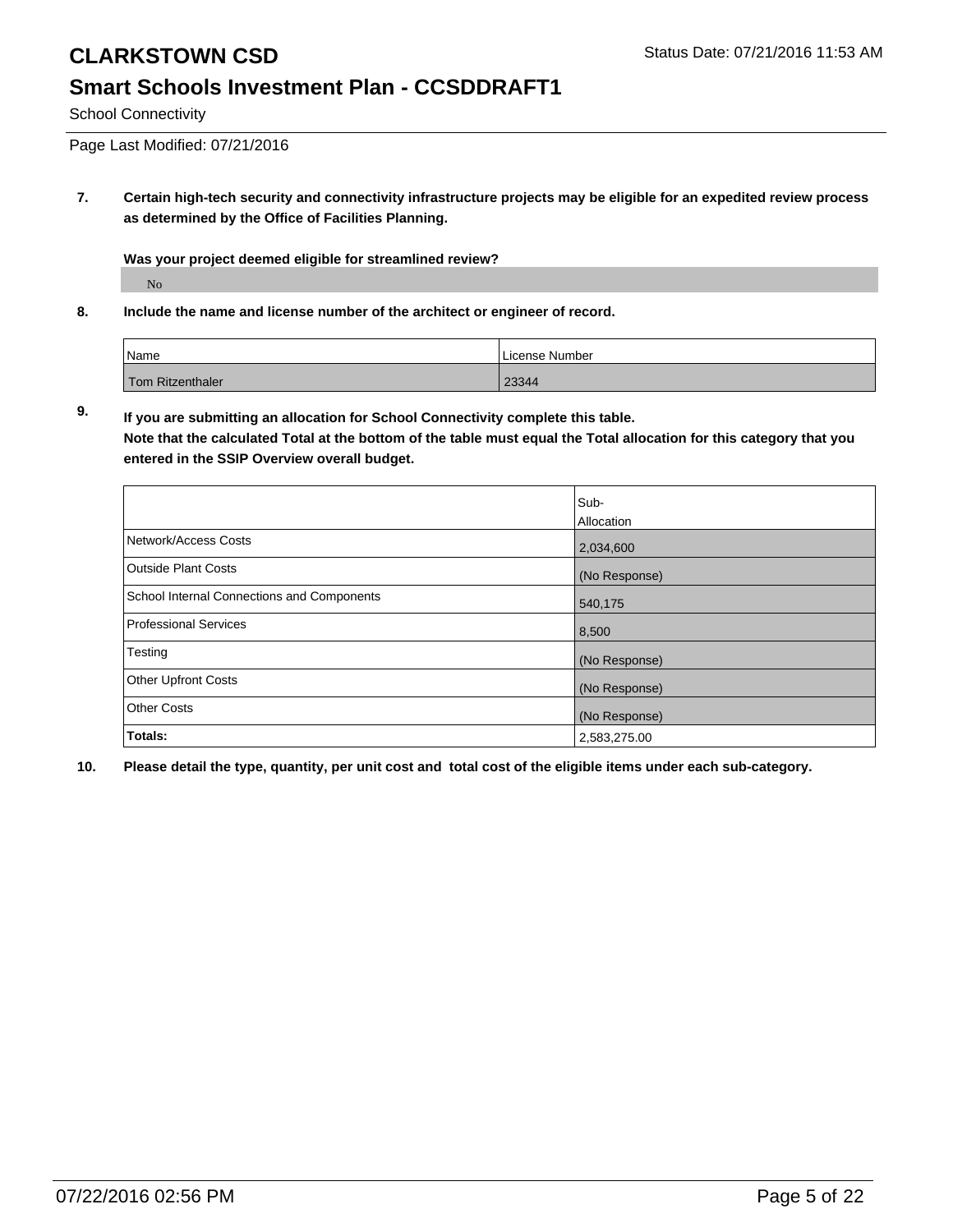# **Smart Schools Investment Plan - CCSDDRAFT1**

School Connectivity

Page Last Modified: 07/21/2016

**7. Certain high-tech security and connectivity infrastructure projects may be eligible for an expedited review process as determined by the Office of Facilities Planning.**

**Was your project deemed eligible for streamlined review?**

No

**8. Include the name and license number of the architect or engineer of record.**

| <i>Name</i>      | License Number |
|------------------|----------------|
| Tom Ritzenthaler | 23344          |

**9. If you are submitting an allocation for School Connectivity complete this table. Note that the calculated Total at the bottom of the table must equal the Total allocation for this category that you entered in the SSIP Overview overall budget.** 

|                                            | Sub-<br><b>Allocation</b> |
|--------------------------------------------|---------------------------|
| Network/Access Costs                       | 2,034,600                 |
| <b>Outside Plant Costs</b>                 | (No Response)             |
| School Internal Connections and Components | 540,175                   |
| <b>Professional Services</b>               | 8,500                     |
| Testing                                    | (No Response)             |
| <b>Other Upfront Costs</b>                 | (No Response)             |
| <b>Other Costs</b>                         | (No Response)             |
| Totals:                                    | 2,583,275.00              |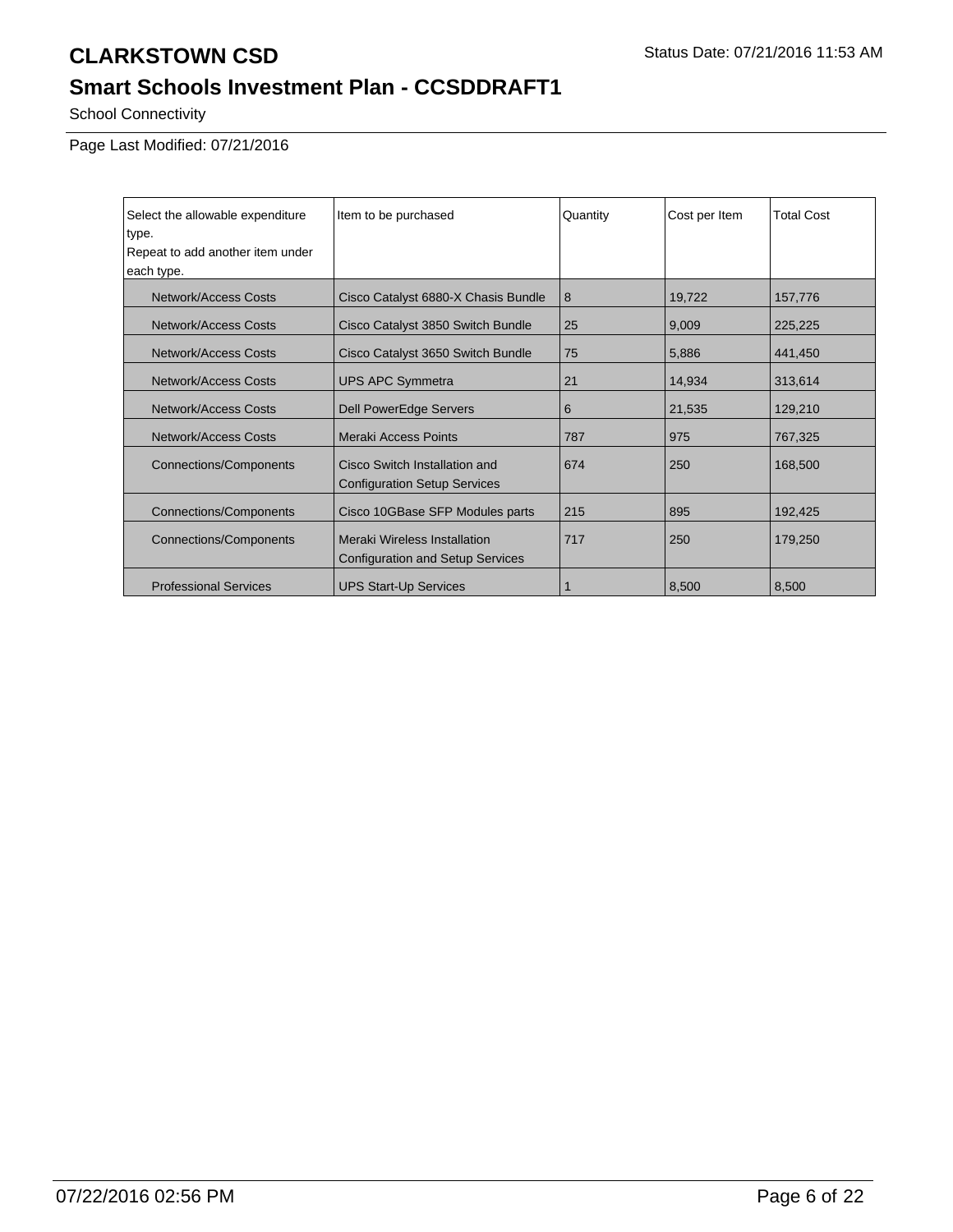# **Smart Schools Investment Plan - CCSDDRAFT1**

School Connectivity

Page Last Modified: 07/21/2016

| Select the allowable expenditure | Item to be purchased                                                    | Quantity | Cost per Item | <b>Total Cost</b> |
|----------------------------------|-------------------------------------------------------------------------|----------|---------------|-------------------|
| type.                            |                                                                         |          |               |                   |
| Repeat to add another item under |                                                                         |          |               |                   |
| each type.                       |                                                                         |          |               |                   |
| Network/Access Costs             | Cisco Catalyst 6880-X Chasis Bundle                                     | 8        | 19,722        | 157,776           |
| Network/Access Costs             | Cisco Catalyst 3850 Switch Bundle                                       | 25       | 9,009         | 225,225           |
| Network/Access Costs             | Cisco Catalyst 3650 Switch Bundle                                       | 75       | 5,886         | 441,450           |
| Network/Access Costs             | <b>UPS APC Symmetra</b>                                                 | 21       | 14,934        | 313,614           |
| Network/Access Costs             | <b>Dell PowerEdge Servers</b>                                           | 6        | 21,535        | 129,210           |
| Network/Access Costs             | Meraki Access Points                                                    | 787      | 975           | 767,325           |
| <b>Connections/Components</b>    | Cisco Switch Installation and<br><b>Configuration Setup Services</b>    | 674      | 250           | 168,500           |
| <b>Connections/Components</b>    | Cisco 10GBase SFP Modules parts                                         | 215      | 895           | 192,425           |
| <b>Connections/Components</b>    | Meraki Wireless Installation<br><b>Configuration and Setup Services</b> | 717      | 250           | 179,250           |
| <b>Professional Services</b>     | <b>UPS Start-Up Services</b>                                            |          | 8,500         | 8,500             |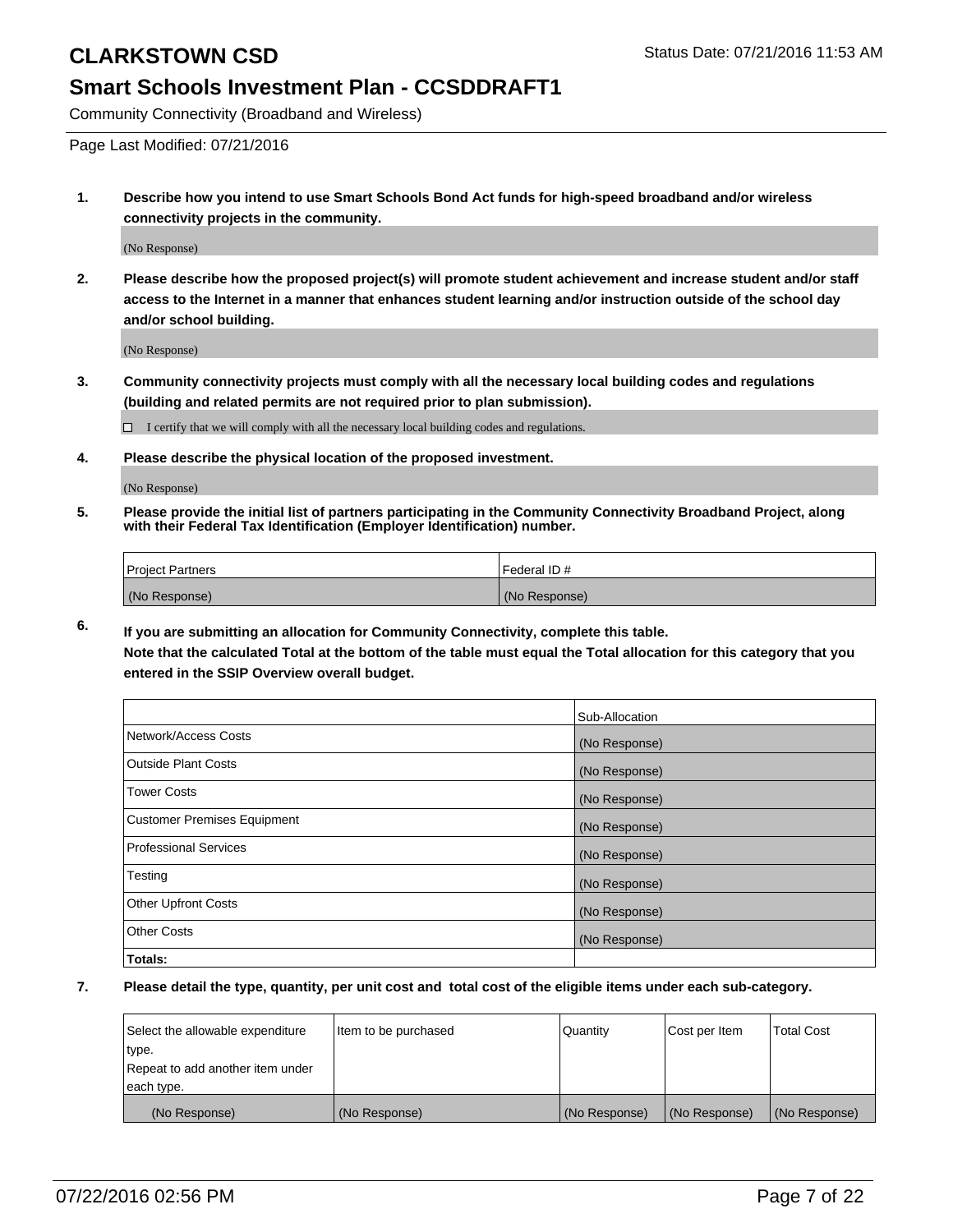### **Smart Schools Investment Plan - CCSDDRAFT1**

Community Connectivity (Broadband and Wireless)

Page Last Modified: 07/21/2016

**1. Describe how you intend to use Smart Schools Bond Act funds for high-speed broadband and/or wireless connectivity projects in the community.**

(No Response)

**2. Please describe how the proposed project(s) will promote student achievement and increase student and/or staff access to the Internet in a manner that enhances student learning and/or instruction outside of the school day and/or school building.**

(No Response)

**3. Community connectivity projects must comply with all the necessary local building codes and regulations (building and related permits are not required prior to plan submission).**

 $\Box$  I certify that we will comply with all the necessary local building codes and regulations.

**4. Please describe the physical location of the proposed investment.**

(No Response)

**5. Please provide the initial list of partners participating in the Community Connectivity Broadband Project, along with their Federal Tax Identification (Employer Identification) number.**

| Project Partners | <b>IFederal ID#</b> |
|------------------|---------------------|
| (No Response)    | (No Response)       |

**6. If you are submitting an allocation for Community Connectivity, complete this table. Note that the calculated Total at the bottom of the table must equal the Total allocation for this category that you**

**entered in the SSIP Overview overall budget.**

|                                    | Sub-Allocation |
|------------------------------------|----------------|
| Network/Access Costs               | (No Response)  |
| <b>Outside Plant Costs</b>         | (No Response)  |
| <b>Tower Costs</b>                 | (No Response)  |
| <b>Customer Premises Equipment</b> | (No Response)  |
| <b>Professional Services</b>       | (No Response)  |
| Testing                            | (No Response)  |
| <b>Other Upfront Costs</b>         | (No Response)  |
| <b>Other Costs</b>                 | (No Response)  |
| Totals:                            |                |

| Select the allowable expenditure | Item to be purchased | Quantity      | Cost per Item | <b>Total Cost</b> |
|----------------------------------|----------------------|---------------|---------------|-------------------|
| type.                            |                      |               |               |                   |
| Repeat to add another item under |                      |               |               |                   |
| each type.                       |                      |               |               |                   |
| (No Response)                    | (No Response)        | (No Response) | (No Response) | (No Response)     |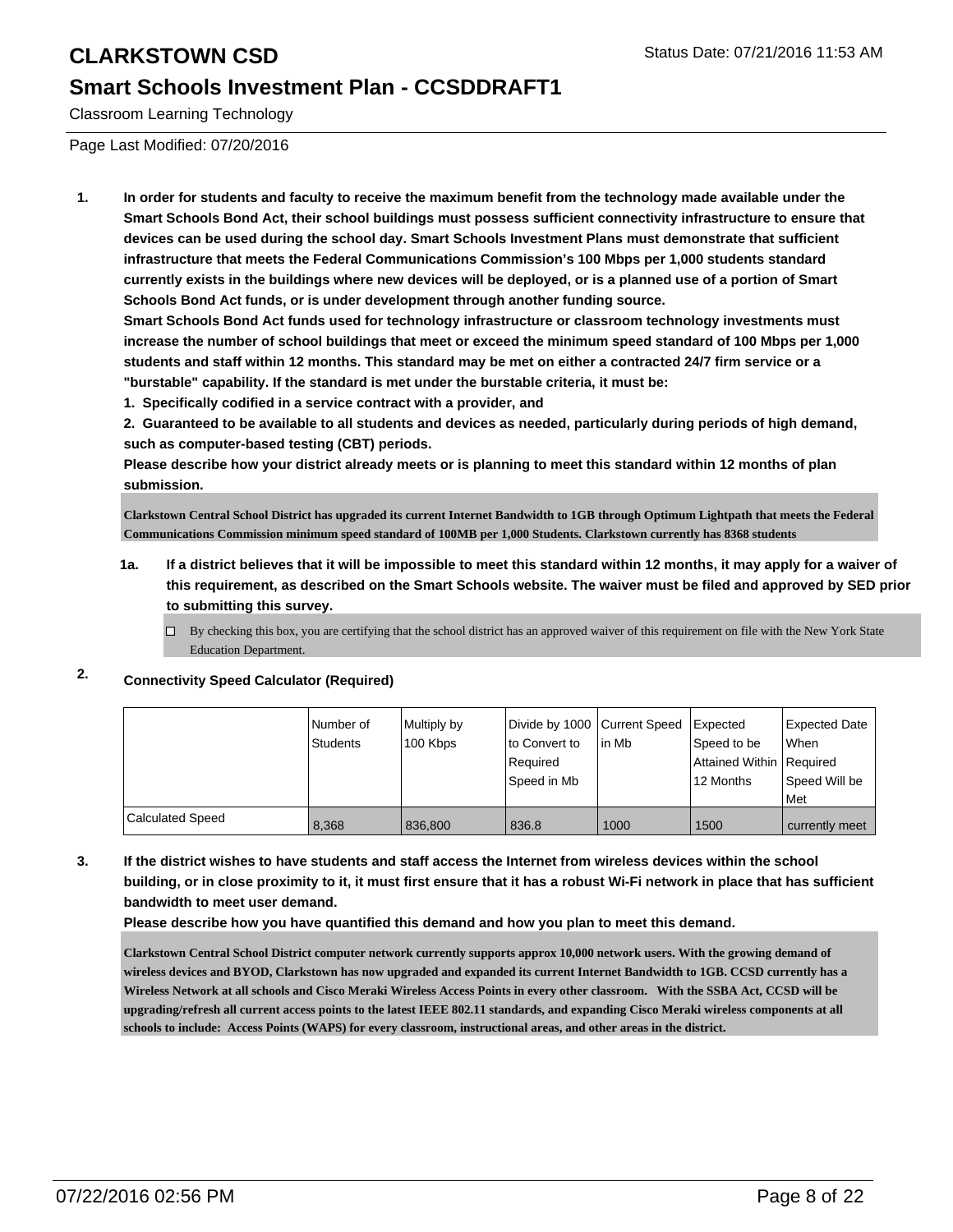### **Smart Schools Investment Plan - CCSDDRAFT1**

Classroom Learning Technology

Page Last Modified: 07/20/2016

**1. In order for students and faculty to receive the maximum benefit from the technology made available under the Smart Schools Bond Act, their school buildings must possess sufficient connectivity infrastructure to ensure that devices can be used during the school day. Smart Schools Investment Plans must demonstrate that sufficient infrastructure that meets the Federal Communications Commission's 100 Mbps per 1,000 students standard currently exists in the buildings where new devices will be deployed, or is a planned use of a portion of Smart Schools Bond Act funds, or is under development through another funding source.**

**Smart Schools Bond Act funds used for technology infrastructure or classroom technology investments must increase the number of school buildings that meet or exceed the minimum speed standard of 100 Mbps per 1,000 students and staff within 12 months. This standard may be met on either a contracted 24/7 firm service or a "burstable" capability. If the standard is met under the burstable criteria, it must be:**

**1. Specifically codified in a service contract with a provider, and**

**2. Guaranteed to be available to all students and devices as needed, particularly during periods of high demand, such as computer-based testing (CBT) periods.**

**Please describe how your district already meets or is planning to meet this standard within 12 months of plan submission.**

**Clarkstown Central School District has upgraded its current Internet Bandwidth to 1GB through Optimum Lightpath that meets the Federal Communications Commission minimum speed standard of 100MB per 1,000 Students. Clarkstown currently has 8368 students**

- **1a. If a district believes that it will be impossible to meet this standard within 12 months, it may apply for a waiver of this requirement, as described on the Smart Schools website. The waiver must be filed and approved by SED prior to submitting this survey.**
	- $\Box$  By checking this box, you are certifying that the school district has an approved waiver of this requirement on file with the New York State Education Department.

#### **2. Connectivity Speed Calculator (Required)**

|                         | l Number of | Multiply by | Divide by 1000 Current Speed |        | <b>I</b> Expected          | <b>Expected Date</b> |
|-------------------------|-------------|-------------|------------------------------|--------|----------------------------|----------------------|
|                         | Students    | 100 Kbps    | to Convert to                | lin Mb | Speed to be                | When                 |
|                         |             |             | Required                     |        | Attained Within   Required |                      |
|                         |             |             | Speed in Mb                  |        | 12 Months                  | Speed Will be        |
|                         |             |             |                              |        |                            | Met                  |
| <b>Calculated Speed</b> | 8.368       | 836,800     | 836.8                        | 1000   | 1500                       | currently meet       |

**3. If the district wishes to have students and staff access the Internet from wireless devices within the school building, or in close proximity to it, it must first ensure that it has a robust Wi-Fi network in place that has sufficient bandwidth to meet user demand.**

**Please describe how you have quantified this demand and how you plan to meet this demand.**

**Clarkstown Central School District computer network currently supports approx 10,000 network users. With the growing demand of wireless devices and BYOD, Clarkstown has now upgraded and expanded its current Internet Bandwidth to 1GB. CCSD currently has a Wireless Network at all schools and Cisco Meraki Wireless Access Points in every other classroom. With the SSBA Act, CCSD will be upgrading/refresh all current access points to the latest IEEE 802.11 standards, and expanding Cisco Meraki wireless components at all schools to include: Access Points (WAPS) for every classroom, instructional areas, and other areas in the district.**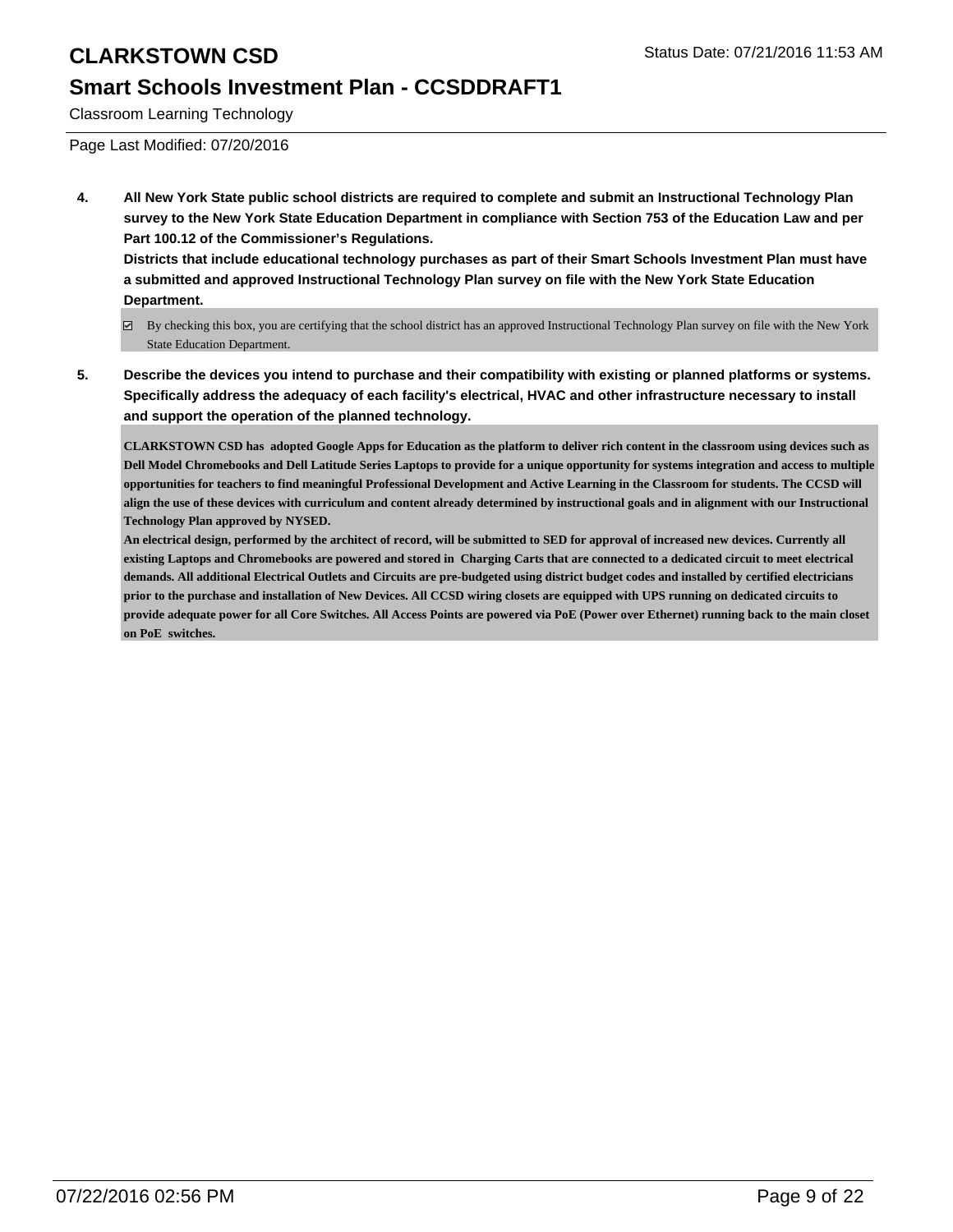### **Smart Schools Investment Plan - CCSDDRAFT1**

Classroom Learning Technology

Page Last Modified: 07/20/2016

**4. All New York State public school districts are required to complete and submit an Instructional Technology Plan survey to the New York State Education Department in compliance with Section 753 of the Education Law and per Part 100.12 of the Commissioner's Regulations.**

**Districts that include educational technology purchases as part of their Smart Schools Investment Plan must have a submitted and approved Instructional Technology Plan survey on file with the New York State Education Department.**

- By checking this box, you are certifying that the school district has an approved Instructional Technology Plan survey on file with the New York State Education Department.
- **5. Describe the devices you intend to purchase and their compatibility with existing or planned platforms or systems. Specifically address the adequacy of each facility's electrical, HVAC and other infrastructure necessary to install and support the operation of the planned technology.**

**CLARKSTOWN CSD has adopted Google Apps for Education as the platform to deliver rich content in the classroom using devices such as Dell Model Chromebooks and Dell Latitude Series Laptops to provide for a unique opportunity for systems integration and access to multiple opportunities for teachers to find meaningful Professional Development and Active Learning in the Classroom for students. The CCSD will align the use of these devices with curriculum and content already determined by instructional goals and in alignment with our Instructional Technology Plan approved by NYSED.**

**An electrical design, performed by the architect of record, will be submitted to SED for approval of increased new devices. Currently all existing Laptops and Chromebooks are powered and stored in Charging Carts that are connected to a dedicated circuit to meet electrical demands. All additional Electrical Outlets and Circuits are pre-budgeted using district budget codes and installed by certified electricians prior to the purchase and installation of New Devices. All CCSD wiring closets are equipped with UPS running on dedicated circuits to provide adequate power for all Core Switches. All Access Points are powered via PoE (Power over Ethernet) running back to the main closet on PoE switches.**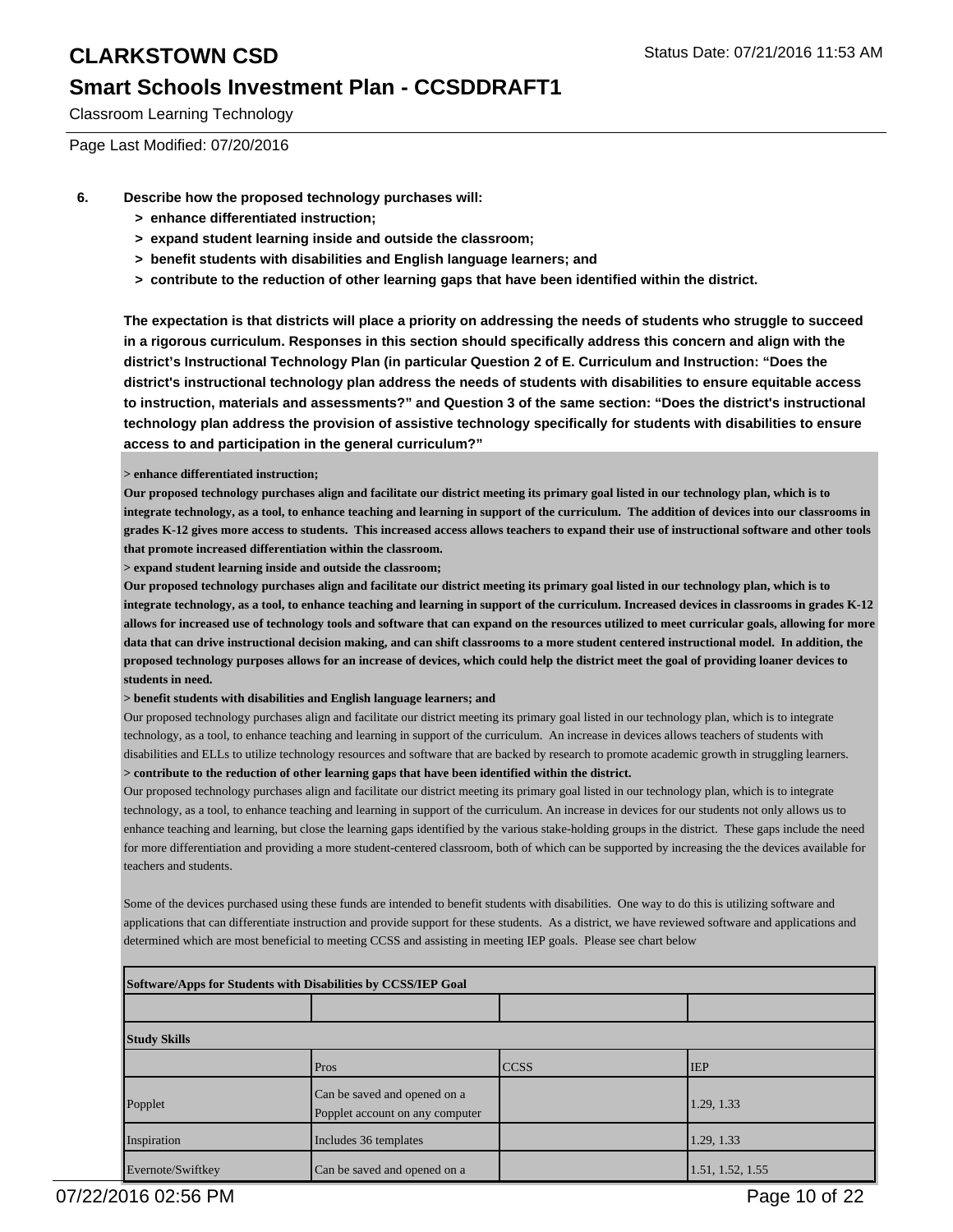### **Smart Schools Investment Plan - CCSDDRAFT1**

Classroom Learning Technology

Page Last Modified: 07/20/2016

- **6. Describe how the proposed technology purchases will:**
	- **> enhance differentiated instruction;**
	- **> expand student learning inside and outside the classroom;**
	- **> benefit students with disabilities and English language learners; and**
	- **> contribute to the reduction of other learning gaps that have been identified within the district.**

**The expectation is that districts will place a priority on addressing the needs of students who struggle to succeed in a rigorous curriculum. Responses in this section should specifically address this concern and align with the district's Instructional Technology Plan (in particular Question 2 of E. Curriculum and Instruction: "Does the district's instructional technology plan address the needs of students with disabilities to ensure equitable access to instruction, materials and assessments?" and Question 3 of the same section: "Does the district's instructional technology plan address the provision of assistive technology specifically for students with disabilities to ensure access to and participation in the general curriculum?"**

#### **> enhance differentiated instruction;**

**Our proposed technology purchases align and facilitate our district meeting its primary goal listed in our technology plan, which is to integrate technology, as a tool, to enhance teaching and learning in support of the curriculum. The addition of devices into our classrooms in grades K-12 gives more access to students. This increased access allows teachers to expand their use of instructional software and other tools that promote increased differentiation within the classroom.**

**> expand student learning inside and outside the classroom;**

**Our proposed technology purchases align and facilitate our district meeting its primary goal listed in our technology plan, which is to integrate technology, as a tool, to enhance teaching and learning in support of the curriculum. Increased devices in classrooms in grades K-12 allows for increased use of technology tools and software that can expand on the resources utilized to meet curricular goals, allowing for more data that can drive instructional decision making, and can shift classrooms to a more student centered instructional model. In addition, the proposed technology purposes allows for an increase of devices, which could help the district meet the goal of providing loaner devices to students in need.**

#### **> benefit students with disabilities and English language learners; and**

Our proposed technology purchases align and facilitate our district meeting its primary goal listed in our technology plan, which is to integrate technology, as a tool, to enhance teaching and learning in support of the curriculum. An increase in devices allows teachers of students with disabilities and ELLs to utilize technology resources and software that are backed by research to promote academic growth in struggling learners. **> contribute to the reduction of other learning gaps that have been identified within the district.**

Our proposed technology purchases align and facilitate our district meeting its primary goal listed in our technology plan, which is to integrate technology, as a tool, to enhance teaching and learning in support of the curriculum. An increase in devices for our students not only allows us to enhance teaching and learning, but close the learning gaps identified by the various stake-holding groups in the district. These gaps include the need for more differentiation and providing a more student-centered classroom, both of which can be supported by increasing the the devices available for teachers and students.

Some of the devices purchased using these funds are intended to benefit students with disabilities. One way to do this is utilizing software and applications that can differentiate instruction and provide support for these students. As a district, we have reviewed software and applications and determined which are most beneficial to meeting CCSS and assisting in meeting IEP goals. Please see chart below

| Software/Apps for Students with Disabilities by CCSS/IEP Goal |                                                                 |             |                  |  |  |
|---------------------------------------------------------------|-----------------------------------------------------------------|-------------|------------------|--|--|
|                                                               |                                                                 |             |                  |  |  |
| <b>Study Skills</b>                                           |                                                                 |             |                  |  |  |
|                                                               | Pros                                                            | <b>CCSS</b> | <b>IEP</b>       |  |  |
| Popplet                                                       | Can be saved and opened on a<br>Popplet account on any computer |             | 1.29, 1.33       |  |  |
| Inspiration                                                   | Includes 36 templates                                           |             | 1.29, 1.33       |  |  |
| Evernote/Swiftkey                                             | Can be saved and opened on a                                    |             | 1.51, 1.52, 1.55 |  |  |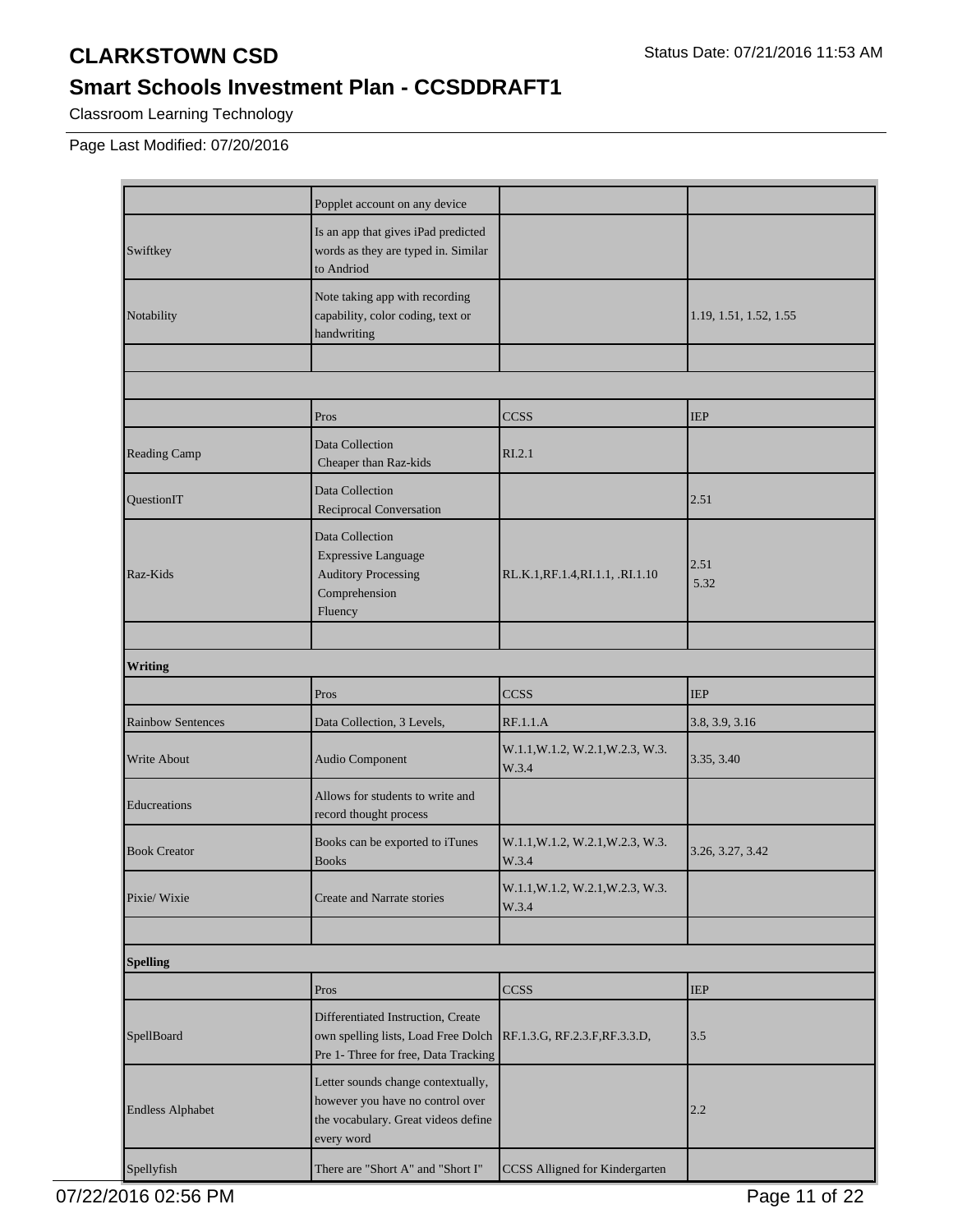### **Smart Schools Investment Plan - CCSDDRAFT1**

Classroom Learning Technology

Page Last Modified: 07/20/2016

|                          | Popplet account on any device                                                                                               |                                           |                        |
|--------------------------|-----------------------------------------------------------------------------------------------------------------------------|-------------------------------------------|------------------------|
| Swiftkey                 | Is an app that gives iPad predicted<br>words as they are typed in. Similar<br>to Andriod                                    |                                           |                        |
| Notability               | Note taking app with recording<br>capability, color coding, text or<br>handwriting                                          |                                           | 1.19, 1.51, 1.52, 1.55 |
|                          |                                                                                                                             |                                           |                        |
|                          |                                                                                                                             |                                           |                        |
|                          | Pros                                                                                                                        | <b>CCSS</b>                               | <b>IEP</b>             |
| Reading Camp             | Data Collection<br>Cheaper than Raz-kids                                                                                    | RI.2.1                                    |                        |
| <b>OuestionIT</b>        | Data Collection<br>Reciprocal Conversation                                                                                  |                                           | 2.51                   |
| Raz-Kids                 | Data Collection<br><b>Expressive Language</b><br><b>Auditory Processing</b><br>Comprehension<br>Fluency                     | RL.K.1, RF.1.4, RI.1.1, .RI.1.10          | 2.51<br>5.32           |
| <b>Writing</b>           |                                                                                                                             |                                           |                        |
|                          |                                                                                                                             |                                           |                        |
|                          | Pros                                                                                                                        | <b>CCSS</b>                               | <b>IEP</b>             |
| <b>Rainbow Sentences</b> | Data Collection, 3 Levels,                                                                                                  | RF.1.1.A                                  | 3.8, 3.9, 3.16         |
| <b>Write About</b>       | Audio Component                                                                                                             | W.1.1, W.1.2, W.2.1, W.2.3, W.3.<br>W.3.4 | 3.35, 3.40             |
| Educreations             | Allows for students to write and<br>record thought process                                                                  |                                           |                        |
| <b>Book Creator</b>      | Books can be exported to iTunes<br><b>Books</b>                                                                             | W.1.1, W.1.2, W.2.1, W.2.3, W.3.<br>W.3.4 | 3.26, 3.27, 3.42       |
| Pixie/ Wixie             | Create and Narrate stories                                                                                                  | W.1.1, W.1.2, W.2.1, W.2.3, W.3.<br>W.3.4 |                        |
|                          |                                                                                                                             |                                           |                        |
| <b>Spelling</b>          |                                                                                                                             |                                           |                        |
|                          | Pros                                                                                                                        | <b>CCSS</b>                               | <b>IEP</b>             |
| SpellBoard               | Differentiated Instruction, Create<br>own spelling lists, Load Free Dolch<br>Pre 1- Three for free, Data Tracking           | RF.1.3.G, RF.2.3.F, RF.3.3.D,             | 3.5                    |
| <b>Endless Alphabet</b>  | Letter sounds change contextually,<br>however you have no control over<br>the vocabulary. Great videos define<br>every word |                                           | 2.2                    |
| Spellyfish               | There are "Short A" and "Short I"                                                                                           | CCSS Alligned for Kindergarten            |                        |

07/22/2016 02:56 PM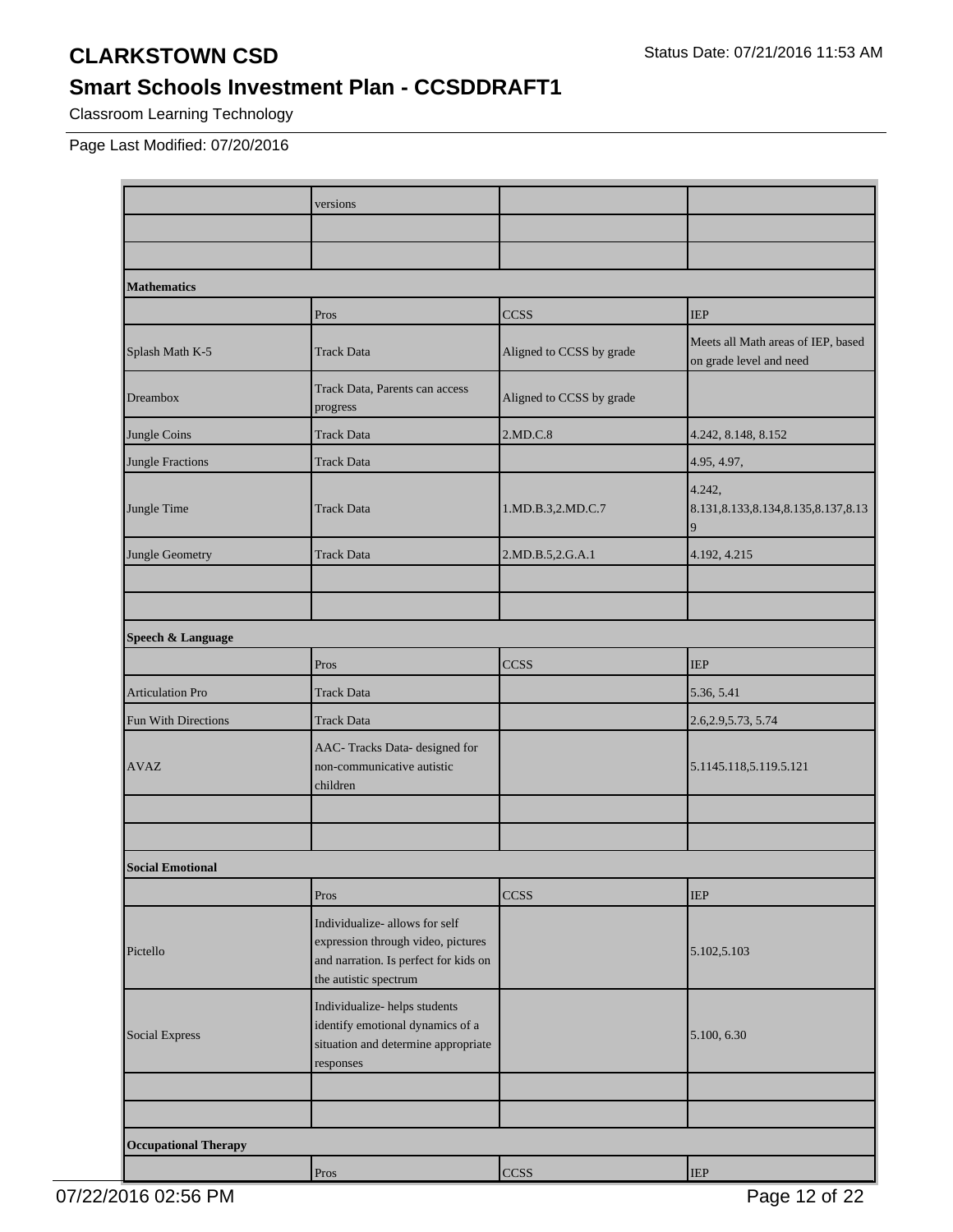### **Smart Schools Investment Plan - CCSDDRAFT1**

Classroom Learning Technology

Page Last Modified: 07/20/2016

|                             | versions                                                                                                                               |                          |                                                               |
|-----------------------------|----------------------------------------------------------------------------------------------------------------------------------------|--------------------------|---------------------------------------------------------------|
|                             |                                                                                                                                        |                          |                                                               |
|                             |                                                                                                                                        |                          |                                                               |
| <b>Mathematics</b>          |                                                                                                                                        |                          |                                                               |
|                             | Pros                                                                                                                                   | <b>CCSS</b>              | <b>IEP</b>                                                    |
| Splash Math K-5             | <b>Track Data</b>                                                                                                                      | Aligned to CCSS by grade | Meets all Math areas of IEP, based<br>on grade level and need |
| Dreambox                    | Track Data, Parents can access<br>progress                                                                                             | Aligned to CCSS by grade |                                                               |
| Jungle Coins                | <b>Track Data</b>                                                                                                                      | 2.MD.C.8                 | 4.242, 8.148, 8.152                                           |
| Jungle Fractions            | <b>Track Data</b>                                                                                                                      |                          | 4.95, 4.97,                                                   |
| Jungle Time                 | <b>Track Data</b>                                                                                                                      | 1.MD.B.3,2.MD.C.7        | 4.242,<br>8.131, 8.133, 8.134, 8.135, 8.137, 8.13<br>9        |
| Jungle Geometry             | <b>Track Data</b>                                                                                                                      | 2.MD.B.5,2.G.A.1         | 4.192, 4.215                                                  |
|                             |                                                                                                                                        |                          |                                                               |
|                             |                                                                                                                                        |                          |                                                               |
| Speech & Language           |                                                                                                                                        |                          |                                                               |
|                             | Pros                                                                                                                                   | <b>CCSS</b>              | <b>IEP</b>                                                    |
| <b>Articulation Pro</b>     | <b>Track Data</b>                                                                                                                      |                          | 5.36, 5.41                                                    |
| Fun With Directions         | <b>Track Data</b>                                                                                                                      |                          | 2.6, 2.9, 5.73, 5.74                                          |
| <b>AVAZ</b>                 | AAC-Tracks Data- designed for<br>non-communicative autistic<br>children                                                                |                          | 5.1145.118,5.119.5.121                                        |
|                             |                                                                                                                                        |                          |                                                               |
|                             |                                                                                                                                        |                          |                                                               |
| <b>Social Emotional</b>     |                                                                                                                                        |                          |                                                               |
|                             | Pros                                                                                                                                   | CCSS                     | <b>IEP</b>                                                    |
| Pictello                    | Individualize- allows for self<br>expression through video, pictures<br>and narration. Is perfect for kids on<br>the autistic spectrum |                          | 5.102,5.103                                                   |
| Social Express              | Individualize-helps students<br>identify emotional dynamics of a<br>situation and determine appropriate<br>responses                   |                          | 5.100, 6.30                                                   |
|                             |                                                                                                                                        |                          |                                                               |
|                             |                                                                                                                                        |                          |                                                               |
| <b>Occupational Therapy</b> |                                                                                                                                        |                          |                                                               |
|                             | Pros                                                                                                                                   | <b>CCSS</b>              | $\ensuremath{\mathsf{IEP}}$                                   |

07/22/2016 02:56 PM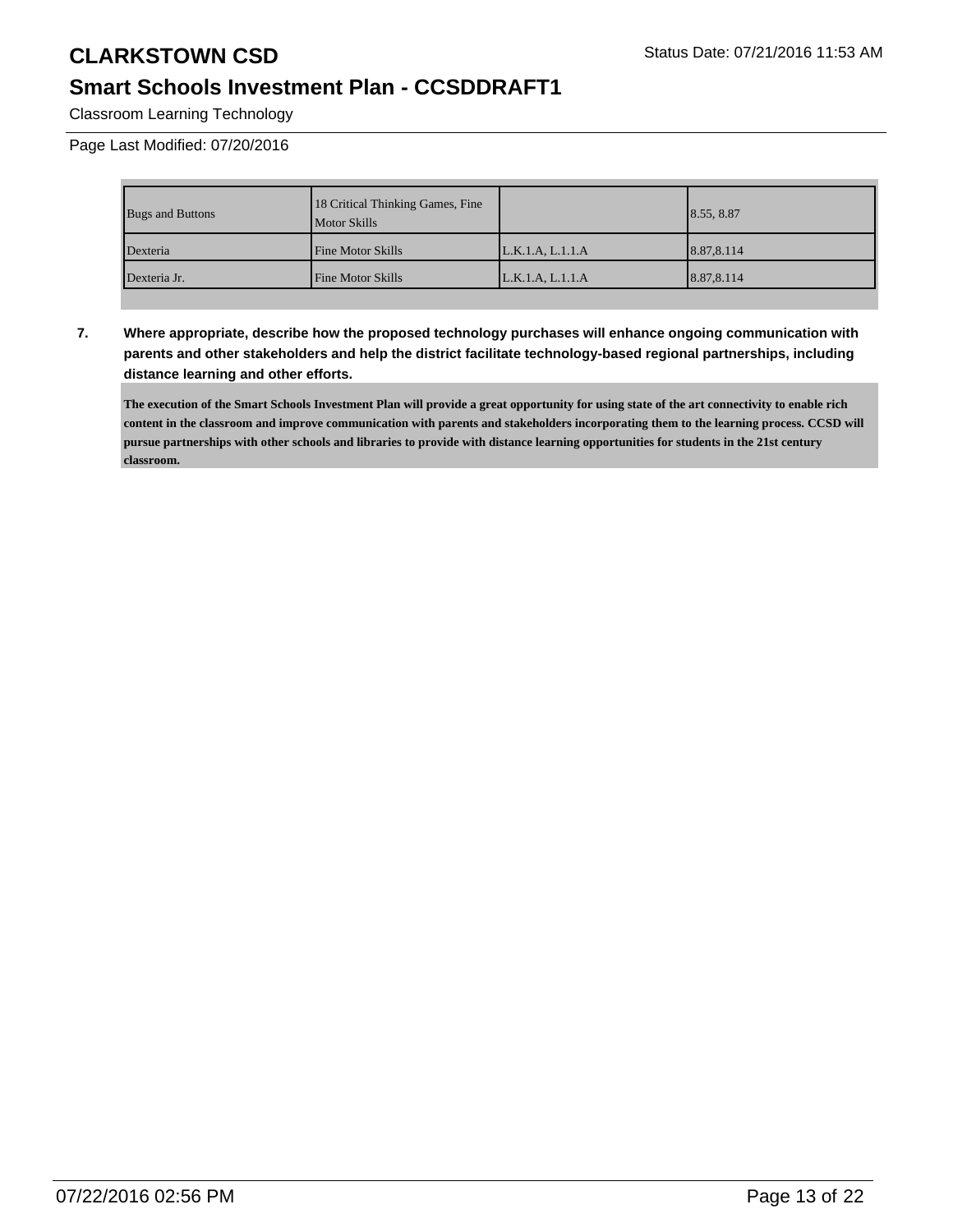### **Smart Schools Investment Plan - CCSDDRAFT1**

Classroom Learning Technology

Page Last Modified: 07/20/2016

| <b>Bugs and Buttons</b> | 18 Critical Thinking Games, Fine<br><b>Motor Skills</b> |                  | 8.55, 8.87 |
|-------------------------|---------------------------------------------------------|------------------|------------|
| Dexteria                | <b>Fine Motor Skills</b>                                | L.K.1.A, L.1.1.A | 8.87,8.114 |
| Dexteria Jr.            | <b>Fine Motor Skills</b>                                | L.K.1.A. L.1.1.A | 8.87,8.114 |

**7. Where appropriate, describe how the proposed technology purchases will enhance ongoing communication with parents and other stakeholders and help the district facilitate technology-based regional partnerships, including distance learning and other efforts.**

**The execution of the Smart Schools Investment Plan will provide a great opportunity for using state of the art connectivity to enable rich content in the classroom and improve communication with parents and stakeholders incorporating them to the learning process. CCSD will pursue partnerships with other schools and libraries to provide with distance learning opportunities for students in the 21st century classroom.**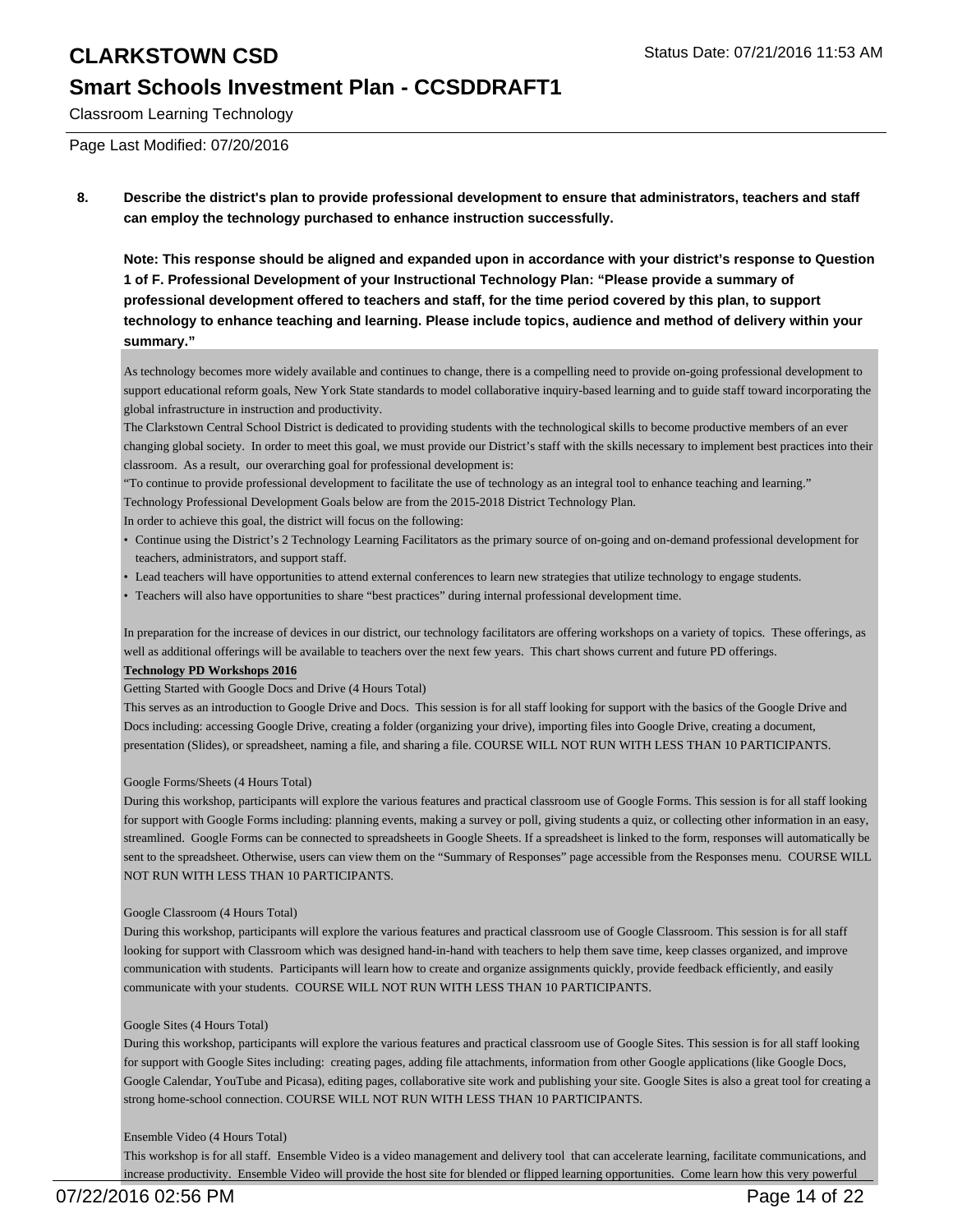# **Smart Schools Investment Plan - CCSDDRAFT1**

Classroom Learning Technology

Page Last Modified: 07/20/2016

**8. Describe the district's plan to provide professional development to ensure that administrators, teachers and staff can employ the technology purchased to enhance instruction successfully.**

**Note: This response should be aligned and expanded upon in accordance with your district's response to Question 1 of F. Professional Development of your Instructional Technology Plan: "Please provide a summary of professional development offered to teachers and staff, for the time period covered by this plan, to support technology to enhance teaching and learning. Please include topics, audience and method of delivery within your summary."**

As technology becomes more widely available and continues to change, there is a compelling need to provide on-going professional development to support educational reform goals, New York State standards to model collaborative inquiry-based learning and to guide staff toward incorporating the global infrastructure in instruction and productivity.

The Clarkstown Central School District is dedicated to providing students with the technological skills to become productive members of an ever changing global society. In order to meet this goal, we must provide our District's staff with the skills necessary to implement best practices into their classroom. As a result, our overarching goal for professional development is:

"To continue to provide professional development to facilitate the use of technology as an integral tool to enhance teaching and learning."

Technology Professional Development Goals below are from the 2015-2018 District Technology Plan.

In order to achieve this goal, the district will focus on the following:

- Continue using the District's 2 Technology Learning Facilitators as the primary source of on-going and on-demand professional development for teachers, administrators, and support staff.
- Lead teachers will have opportunities to attend external conferences to learn new strategies that utilize technology to engage students.
- Teachers will also have opportunities to share "best practices" during internal professional development time.

In preparation for the increase of devices in our district, our technology facilitators are offering workshops on a variety of topics. These offerings, as well as additional offerings will be available to teachers over the next few years. This chart shows current and future PD offerings.

#### **Technology PD Workshops 2016**

Getting Started with Google Docs and Drive (4 Hours Total)

This serves as an introduction to Google Drive and Docs. This session is for all staff looking for support with the basics of the Google Drive and Docs including: accessing Google Drive, creating a folder (organizing your drive), importing files into Google Drive, creating a document, presentation (Slides), or spreadsheet, naming a file, and sharing a file. COURSE WILL NOT RUN WITH LESS THAN 10 PARTICIPANTS.

#### Google Forms/Sheets (4 Hours Total)

During this workshop, participants will explore the various features and practical classroom use of Google Forms. This session is for all staff looking for support with Google Forms including: planning events, making a survey or poll, giving students a quiz, or collecting other information in an easy, streamlined. Google Forms can be connected to spreadsheets in Google Sheets. If a spreadsheet is linked to the form, responses will automatically be sent to the spreadsheet. Otherwise, users can view them on the "Summary of Responses" page accessible from the Responses menu. COURSE WILL NOT RUN WITH LESS THAN 10 PARTICIPANTS.

#### Google Classroom (4 Hours Total)

During this workshop, participants will explore the various features and practical classroom use of Google Classroom. This session is for all staff looking for support with Classroom which was designed hand-in-hand with teachers to help them save time, keep classes organized, and improve communication with students. Participants will learn how to create and organize assignments quickly, provide feedback efficiently, and easily communicate with your students. COURSE WILL NOT RUN WITH LESS THAN 10 PARTICIPANTS.

#### Google Sites (4 Hours Total)

During this workshop, participants will explore the various features and practical classroom use of Google Sites. This session is for all staff looking for support with Google Sites including: creating pages, adding file attachments, information from other Google applications (like Google Docs, Google Calendar, YouTube and Picasa), editing pages, collaborative site work and publishing your site. Google Sites is also a great tool for creating a strong home-school connection. COURSE WILL NOT RUN WITH LESS THAN 10 PARTICIPANTS.

#### Ensemble Video (4 Hours Total)

This workshop is for all staff. Ensemble Video is a video management and delivery tool that can accelerate learning, facilitate communications, and increase productivity. Ensemble Video will provide the host site for blended or flipped learning opportunities. Come learn how this very powerful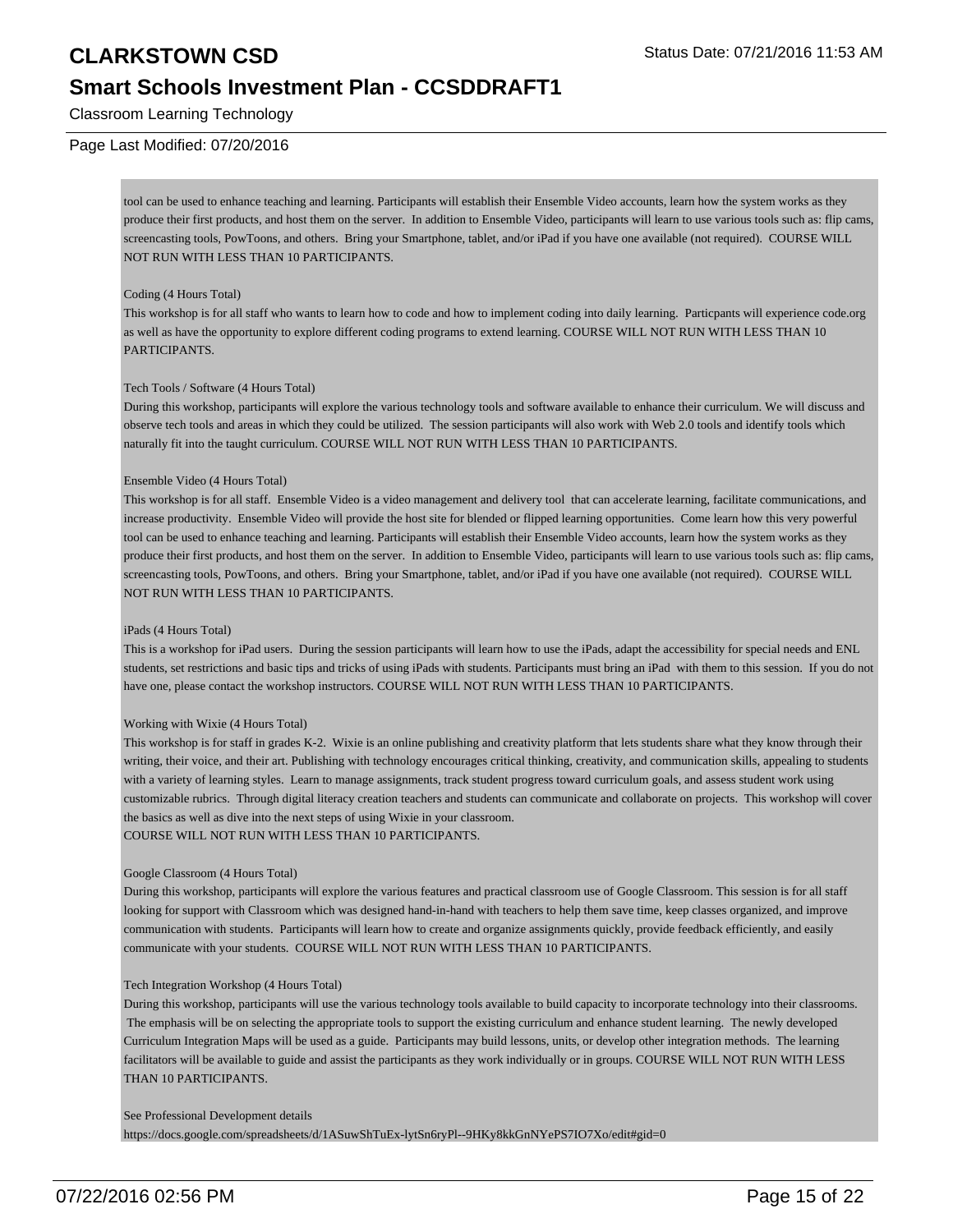### **Smart Schools Investment Plan - CCSDDRAFT1**

Classroom Learning Technology

#### Page Last Modified: 07/20/2016

tool can be used to enhance teaching and learning. Participants will establish their Ensemble Video accounts, learn how the system works as they produce their first products, and host them on the server. In addition to Ensemble Video, participants will learn to use various tools such as: flip cams, screencasting tools, PowToons, and others. Bring your Smartphone, tablet, and/or iPad if you have one available (not required). COURSE WILL NOT RUN WITH LESS THAN 10 PARTICIPANTS.

#### Coding (4 Hours Total)

This workshop is for all staff who wants to learn how to code and how to implement coding into daily learning. Particpants will experience code.org as well as have the opportunity to explore different coding programs to extend learning. COURSE WILL NOT RUN WITH LESS THAN 10 PARTICIPANTS.

#### Tech Tools / Software (4 Hours Total)

During this workshop, participants will explore the various technology tools and software available to enhance their curriculum. We will discuss and observe tech tools and areas in which they could be utilized. The session participants will also work with Web 2.0 tools and identify tools which naturally fit into the taught curriculum. COURSE WILL NOT RUN WITH LESS THAN 10 PARTICIPANTS.

#### Ensemble Video (4 Hours Total)

This workshop is for all staff. Ensemble Video is a video management and delivery tool that can accelerate learning, facilitate communications, and increase productivity. Ensemble Video will provide the host site for blended or flipped learning opportunities. Come learn how this very powerful tool can be used to enhance teaching and learning. Participants will establish their Ensemble Video accounts, learn how the system works as they produce their first products, and host them on the server. In addition to Ensemble Video, participants will learn to use various tools such as: flip cams, screencasting tools, PowToons, and others. Bring your Smartphone, tablet, and/or iPad if you have one available (not required). COURSE WILL NOT RUN WITH LESS THAN 10 PARTICIPANTS.

#### iPads (4 Hours Total)

This is a workshop for iPad users. During the session participants will learn how to use the iPads, adapt the accessibility for special needs and ENL students, set restrictions and basic tips and tricks of using iPads with students. Participants must bring an iPad with them to this session. If you do not have one, please contact the workshop instructors. COURSE WILL NOT RUN WITH LESS THAN 10 PARTICIPANTS.

#### Working with Wixie (4 Hours Total)

This workshop is for staff in grades K-2. Wixie is an online publishing and creativity platform that lets students share what they know through their writing, their voice, and their art. Publishing with technology encourages critical thinking, creativity, and communication skills, appealing to students with a variety of learning styles. Learn to manage assignments, track student progress toward curriculum goals, and assess student work using customizable rubrics. Through digital literacy creation teachers and students can communicate and collaborate on projects. This workshop will cover the basics as well as dive into the next steps of using Wixie in your classroom. COURSE WILL NOT RUN WITH LESS THAN 10 PARTICIPANTS.

#### Google Classroom (4 Hours Total)

During this workshop, participants will explore the various features and practical classroom use of Google Classroom. This session is for all staff looking for support with Classroom which was designed hand-in-hand with teachers to help them save time, keep classes organized, and improve communication with students. Participants will learn how to create and organize assignments quickly, provide feedback efficiently, and easily communicate with your students. COURSE WILL NOT RUN WITH LESS THAN 10 PARTICIPANTS.

#### Tech Integration Workshop (4 Hours Total)

During this workshop, participants will use the various technology tools available to build capacity to incorporate technology into their classrooms. The emphasis will be on selecting the appropriate tools to support the existing curriculum and enhance student learning. The newly developed Curriculum Integration Maps will be used as a guide. Participants may build lessons, units, or develop other integration methods. The learning facilitators will be available to guide and assist the participants as they work individually or in groups. COURSE WILL NOT RUN WITH LESS THAN 10 PARTICIPANTS.

#### See Professional Development details

https://docs.google.com/spreadsheets/d/1ASuwShTuEx-lytSn6ryPl--9HKy8kkGnNYePS7IO7Xo/edit#gid=0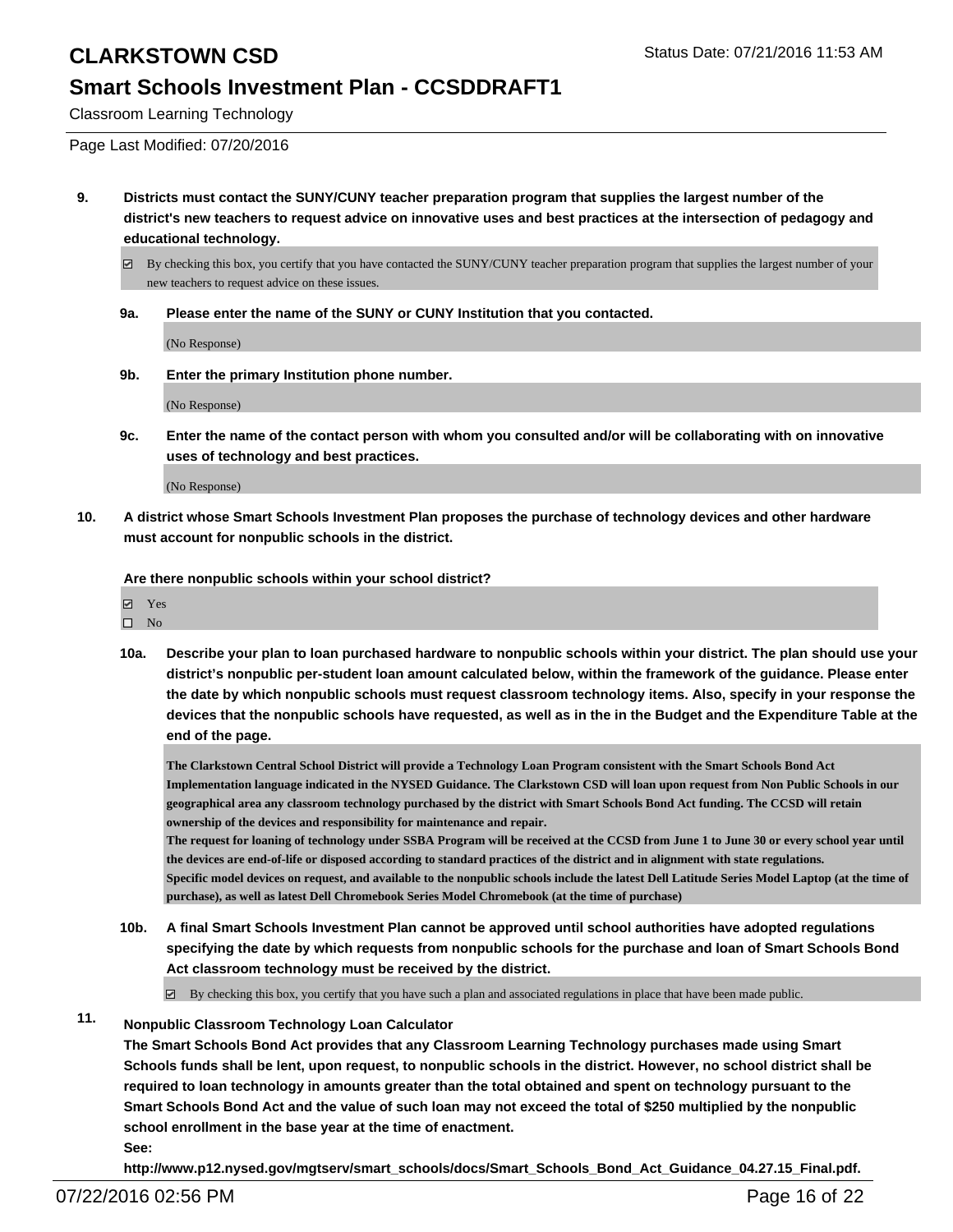### **Smart Schools Investment Plan - CCSDDRAFT1**

Classroom Learning Technology

Page Last Modified: 07/20/2016

**9. Districts must contact the SUNY/CUNY teacher preparation program that supplies the largest number of the district's new teachers to request advice on innovative uses and best practices at the intersection of pedagogy and educational technology.**

 $\boxtimes$  By checking this box, you certify that you have contacted the SUNY/CUNY teacher preparation program that supplies the largest number of your new teachers to request advice on these issues.

**9a. Please enter the name of the SUNY or CUNY Institution that you contacted.**

(No Response)

**9b. Enter the primary Institution phone number.**

(No Response)

**9c. Enter the name of the contact person with whom you consulted and/or will be collaborating with on innovative uses of technology and best practices.**

(No Response)

**10. A district whose Smart Schools Investment Plan proposes the purchase of technology devices and other hardware must account for nonpublic schools in the district.**

**Are there nonpublic schools within your school district?**

| $\overline{\phantom{a}}$ | <b>Yes</b> |  |
|--------------------------|------------|--|
|                          |            |  |

- $\square$  No
- **10a. Describe your plan to loan purchased hardware to nonpublic schools within your district. The plan should use your district's nonpublic per-student loan amount calculated below, within the framework of the guidance. Please enter the date by which nonpublic schools must request classroom technology items. Also, specify in your response the devices that the nonpublic schools have requested, as well as in the in the Budget and the Expenditure Table at the end of the page.**

**The Clarkstown Central School District will provide a Technology Loan Program consistent with the Smart Schools Bond Act Implementation language indicated in the NYSED Guidance. The Clarkstown CSD will loan upon request from Non Public Schools in our geographical area any classroom technology purchased by the district with Smart Schools Bond Act funding. The CCSD will retain ownership of the devices and responsibility for maintenance and repair.**

**The request for loaning of technology under SSBA Program will be received at the CCSD from June 1 to June 30 or every school year until the devices are end-of-life or disposed according to standard practices of the district and in alignment with state regulations. Specific model devices on request, and available to the nonpublic schools include the latest Dell Latitude Series Model Laptop (at the time of purchase), as well as latest Dell Chromebook Series Model Chromebook (at the time of purchase)**

**10b. A final Smart Schools Investment Plan cannot be approved until school authorities have adopted regulations specifying the date by which requests from nonpublic schools for the purchase and loan of Smart Schools Bond Act classroom technology must be received by the district.**

 $\boxtimes$  By checking this box, you certify that you have such a plan and associated regulations in place that have been made public.

**11. Nonpublic Classroom Technology Loan Calculator**

**The Smart Schools Bond Act provides that any Classroom Learning Technology purchases made using Smart Schools funds shall be lent, upon request, to nonpublic schools in the district. However, no school district shall be required to loan technology in amounts greater than the total obtained and spent on technology pursuant to the Smart Schools Bond Act and the value of such loan may not exceed the total of \$250 multiplied by the nonpublic school enrollment in the base year at the time of enactment. See:**

**http://www.p12.nysed.gov/mgtserv/smart\_schools/docs/Smart\_Schools\_Bond\_Act\_Guidance\_04.27.15\_Final.pdf.**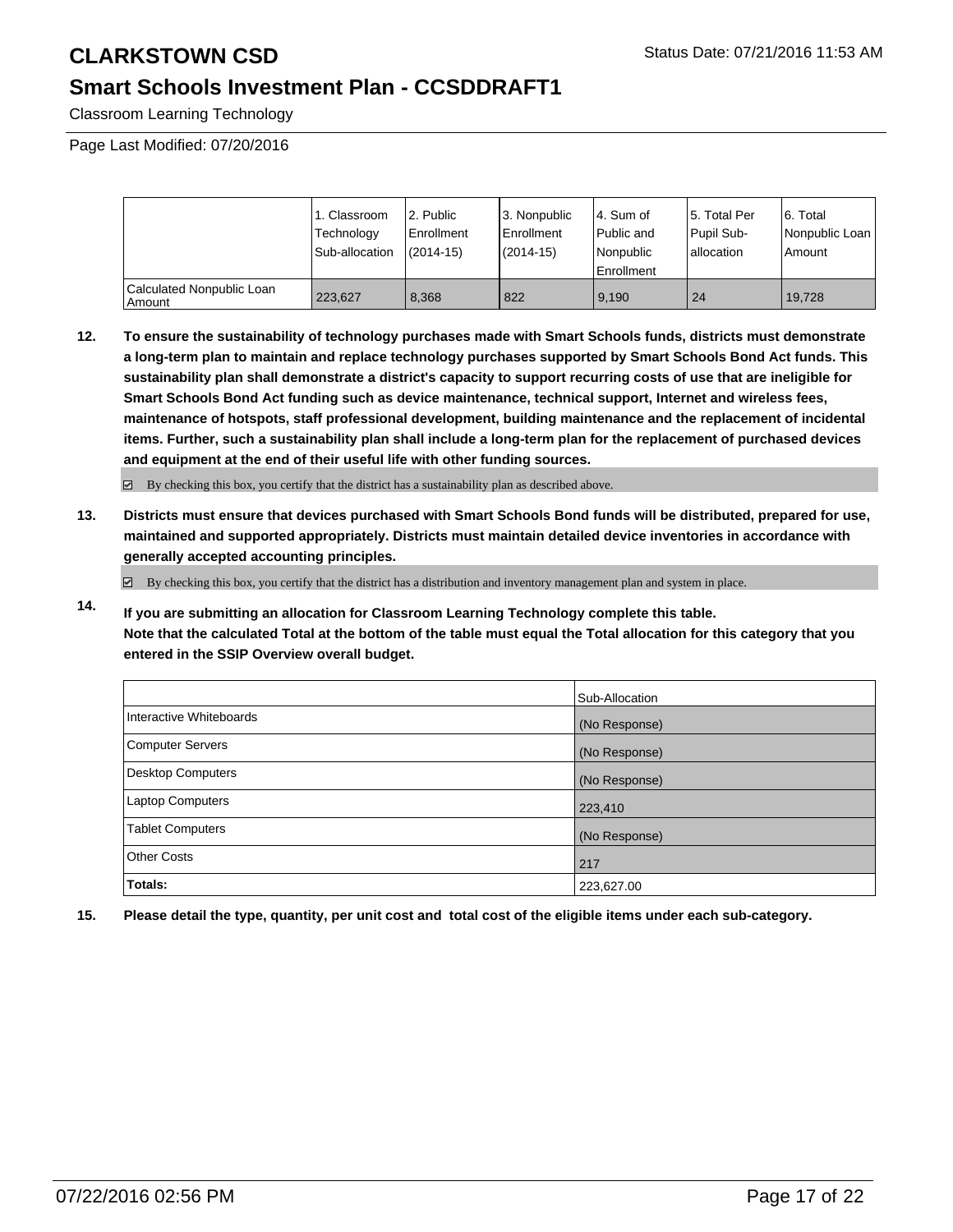### **Smart Schools Investment Plan - CCSDDRAFT1**

Classroom Learning Technology

Page Last Modified: 07/20/2016

|                                     | 1. Classroom<br>Technology<br>Sub-allocation | 2. Public<br>l Enrollment<br>$(2014-15)$ | 3. Nonpublic<br><b>Enrollment</b><br>(2014-15) | l 4. Sum of<br>Public and<br>Nonpublic<br><b>Enrollment</b> | 5. Total Per<br>Pupil Sub-<br>lallocation | 16. Total<br>l Nonpublic Loan<br>Amount |
|-------------------------------------|----------------------------------------------|------------------------------------------|------------------------------------------------|-------------------------------------------------------------|-------------------------------------------|-----------------------------------------|
| Calculated Nonpublic Loan<br>Amount | 223.627                                      | 8.368                                    | 822                                            | 9.190                                                       | 24                                        | 19.728                                  |

**12. To ensure the sustainability of technology purchases made with Smart Schools funds, districts must demonstrate a long-term plan to maintain and replace technology purchases supported by Smart Schools Bond Act funds. This sustainability plan shall demonstrate a district's capacity to support recurring costs of use that are ineligible for Smart Schools Bond Act funding such as device maintenance, technical support, Internet and wireless fees, maintenance of hotspots, staff professional development, building maintenance and the replacement of incidental items. Further, such a sustainability plan shall include a long-term plan for the replacement of purchased devices and equipment at the end of their useful life with other funding sources.**

 $\boxdot$  By checking this box, you certify that the district has a sustainability plan as described above.

**13. Districts must ensure that devices purchased with Smart Schools Bond funds will be distributed, prepared for use, maintained and supported appropriately. Districts must maintain detailed device inventories in accordance with generally accepted accounting principles.**

By checking this box, you certify that the district has a distribution and inventory management plan and system in place.

**14. If you are submitting an allocation for Classroom Learning Technology complete this table. Note that the calculated Total at the bottom of the table must equal the Total allocation for this category that you entered in the SSIP Overview overall budget.**

|                         | Sub-Allocation |
|-------------------------|----------------|
| Interactive Whiteboards | (No Response)  |
| <b>Computer Servers</b> | (No Response)  |
| Desktop Computers       | (No Response)  |
| <b>Laptop Computers</b> | 223,410        |
| Tablet Computers        | (No Response)  |
| Other Costs             | 217            |
| <b>Totals:</b>          | 223,627.00     |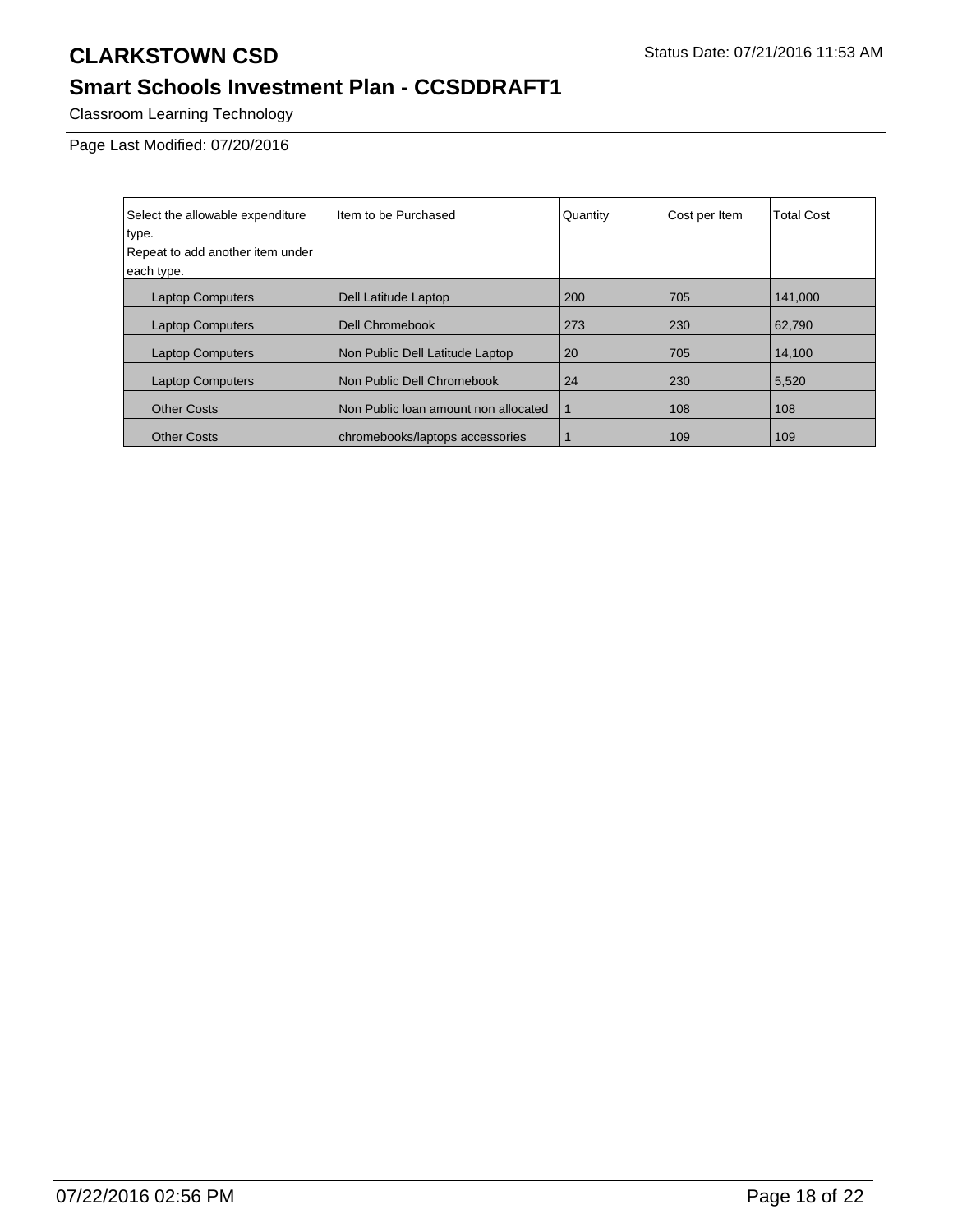# **Smart Schools Investment Plan - CCSDDRAFT1**

Classroom Learning Technology

Page Last Modified: 07/20/2016

| Select the allowable expenditure | Item to be Purchased                 | Quantity | Cost per Item | <b>Total Cost</b> |
|----------------------------------|--------------------------------------|----------|---------------|-------------------|
| type.                            |                                      |          |               |                   |
| Repeat to add another item under |                                      |          |               |                   |
| each type.                       |                                      |          |               |                   |
| <b>Laptop Computers</b>          | Dell Latitude Laptop                 | 200      | 705           | 141.000           |
| <b>Laptop Computers</b>          | Dell Chromebook                      | 273      | 230           | 62,790            |
| <b>Laptop Computers</b>          | Non Public Dell Latitude Laptop      | 20       | 705           | 14,100            |
| <b>Laptop Computers</b>          | Non Public Dell Chromebook           | 24       | 230           | 5,520             |
| <b>Other Costs</b>               | Non Public loan amount non allocated |          | 108           | 108               |
| <b>Other Costs</b>               | chromebooks/laptops accessories      |          | 109           | 109               |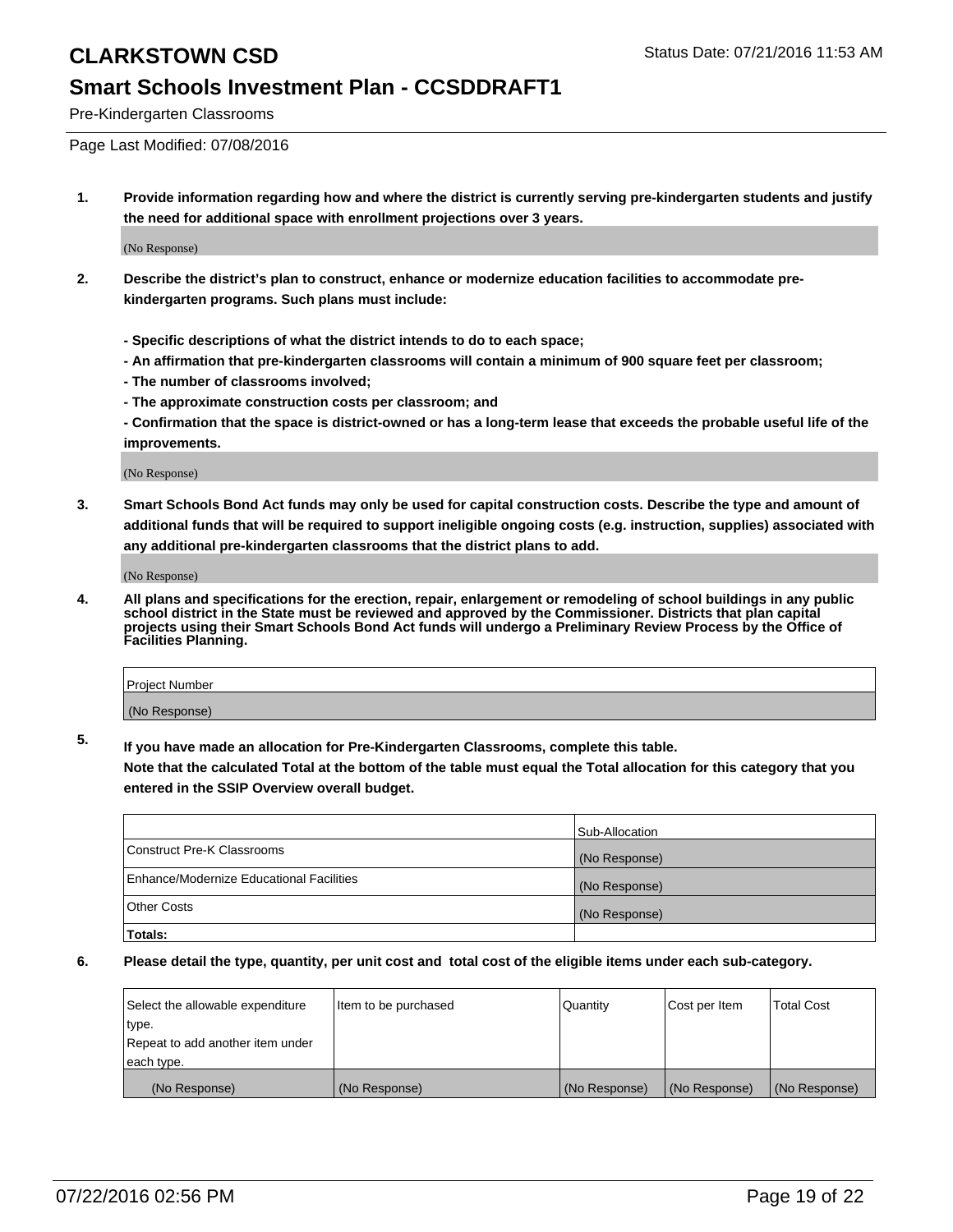### **Smart Schools Investment Plan - CCSDDRAFT1**

Pre-Kindergarten Classrooms

Page Last Modified: 07/08/2016

**1. Provide information regarding how and where the district is currently serving pre-kindergarten students and justify the need for additional space with enrollment projections over 3 years.**

(No Response)

- **2. Describe the district's plan to construct, enhance or modernize education facilities to accommodate prekindergarten programs. Such plans must include:**
	- **Specific descriptions of what the district intends to do to each space;**
	- **An affirmation that pre-kindergarten classrooms will contain a minimum of 900 square feet per classroom;**
	- **The number of classrooms involved;**
	- **The approximate construction costs per classroom; and**
	- **Confirmation that the space is district-owned or has a long-term lease that exceeds the probable useful life of the improvements.**

(No Response)

**3. Smart Schools Bond Act funds may only be used for capital construction costs. Describe the type and amount of additional funds that will be required to support ineligible ongoing costs (e.g. instruction, supplies) associated with any additional pre-kindergarten classrooms that the district plans to add.**

(No Response)

**4. All plans and specifications for the erection, repair, enlargement or remodeling of school buildings in any public school district in the State must be reviewed and approved by the Commissioner. Districts that plan capital projects using their Smart Schools Bond Act funds will undergo a Preliminary Review Process by the Office of Facilities Planning.**

| Project Number |  |
|----------------|--|
| (No Response)  |  |

**5. If you have made an allocation for Pre-Kindergarten Classrooms, complete this table.**

**Note that the calculated Total at the bottom of the table must equal the Total allocation for this category that you entered in the SSIP Overview overall budget.**

|                                          | Sub-Allocation |
|------------------------------------------|----------------|
| Construct Pre-K Classrooms               | (No Response)  |
| Enhance/Modernize Educational Facilities | (No Response)  |
| <b>Other Costs</b>                       | (No Response)  |
| Totals:                                  |                |

| Select the allowable expenditure | Item to be purchased | Quantity      | Cost per Item | <b>Total Cost</b> |
|----------------------------------|----------------------|---------------|---------------|-------------------|
| type.                            |                      |               |               |                   |
| Repeat to add another item under |                      |               |               |                   |
| each type.                       |                      |               |               |                   |
| (No Response)                    | (No Response)        | (No Response) | (No Response) | (No Response)     |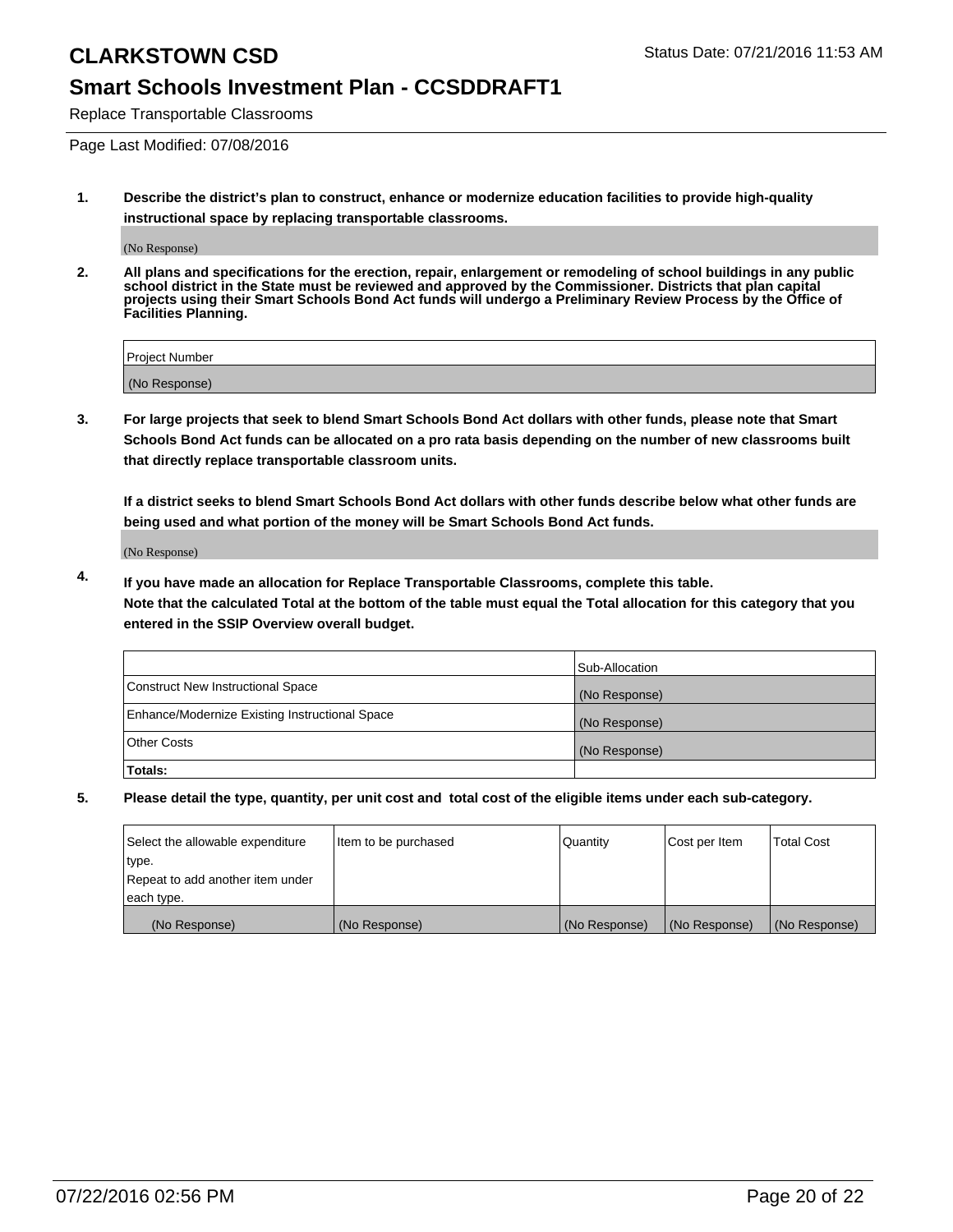### **Smart Schools Investment Plan - CCSDDRAFT1**

Replace Transportable Classrooms

Page Last Modified: 07/08/2016

**1. Describe the district's plan to construct, enhance or modernize education facilities to provide high-quality instructional space by replacing transportable classrooms.**

(No Response)

**2. All plans and specifications for the erection, repair, enlargement or remodeling of school buildings in any public school district in the State must be reviewed and approved by the Commissioner. Districts that plan capital projects using their Smart Schools Bond Act funds will undergo a Preliminary Review Process by the Office of Facilities Planning.**

| <b>Project Number</b> |  |
|-----------------------|--|
| (No Response)         |  |

**3. For large projects that seek to blend Smart Schools Bond Act dollars with other funds, please note that Smart Schools Bond Act funds can be allocated on a pro rata basis depending on the number of new classrooms built that directly replace transportable classroom units.**

**If a district seeks to blend Smart Schools Bond Act dollars with other funds describe below what other funds are being used and what portion of the money will be Smart Schools Bond Act funds.**

(No Response)

**4. If you have made an allocation for Replace Transportable Classrooms, complete this table. Note that the calculated Total at the bottom of the table must equal the Total allocation for this category that you entered in the SSIP Overview overall budget.**

|                                                | Sub-Allocation |
|------------------------------------------------|----------------|
| Construct New Instructional Space              | (No Response)  |
| Enhance/Modernize Existing Instructional Space | (No Response)  |
| Other Costs                                    | (No Response)  |
| Totals:                                        |                |

| Select the allowable expenditure | Item to be purchased | Quantity      | Cost per Item | <b>Total Cost</b> |
|----------------------------------|----------------------|---------------|---------------|-------------------|
| type.                            |                      |               |               |                   |
| Repeat to add another item under |                      |               |               |                   |
| each type.                       |                      |               |               |                   |
| (No Response)                    | (No Response)        | (No Response) | (No Response) | (No Response)     |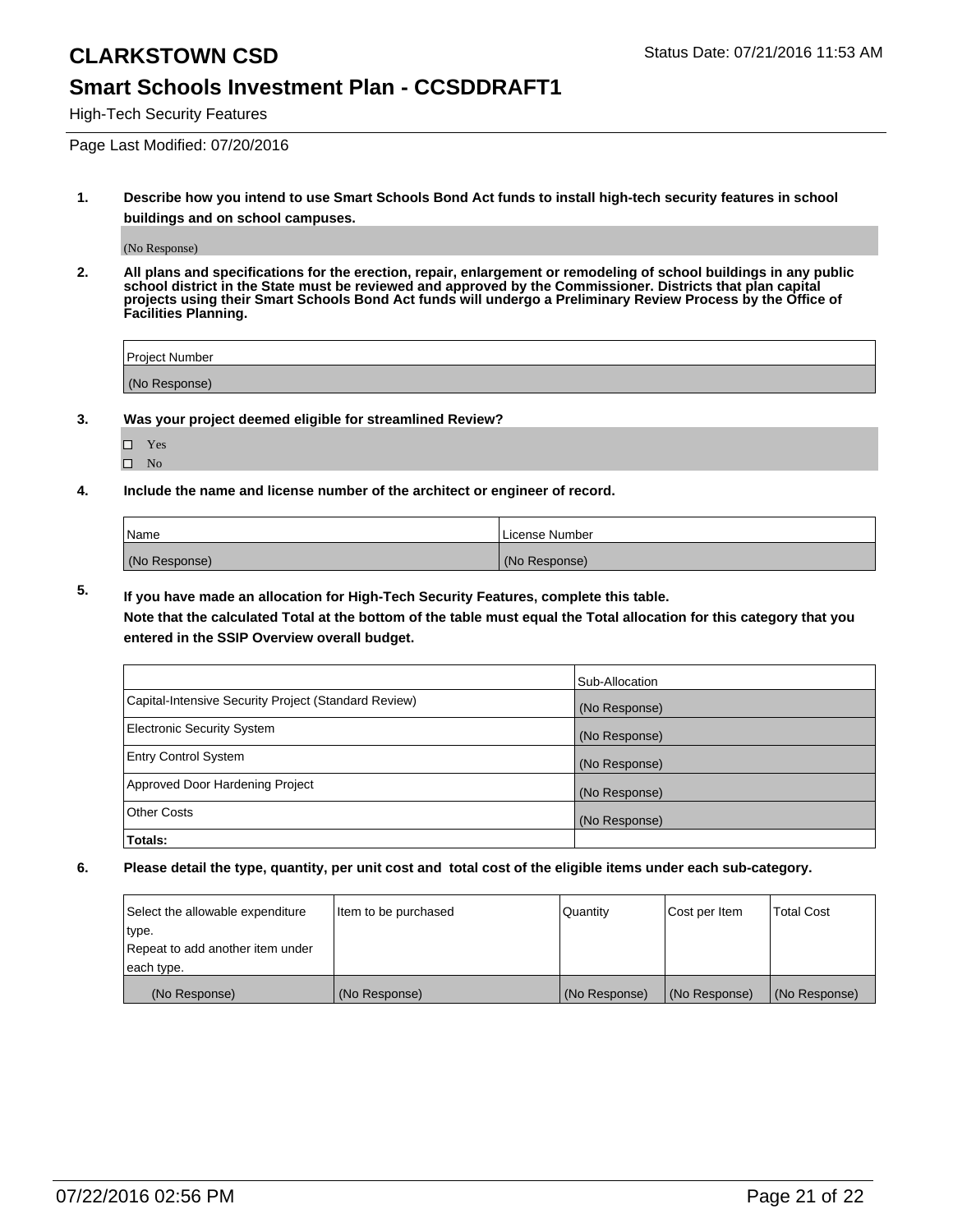### **Smart Schools Investment Plan - CCSDDRAFT1**

High-Tech Security Features

Page Last Modified: 07/20/2016

**1. Describe how you intend to use Smart Schools Bond Act funds to install high-tech security features in school buildings and on school campuses.**

(No Response)

**2. All plans and specifications for the erection, repair, enlargement or remodeling of school buildings in any public school district in the State must be reviewed and approved by the Commissioner. Districts that plan capital projects using their Smart Schools Bond Act funds will undergo a Preliminary Review Process by the Office of Facilities Planning.** 

| Project Number |  |
|----------------|--|
| (No Response)  |  |

**3. Was your project deemed eligible for streamlined Review?**

| П | Yes |  |
|---|-----|--|
| П | Nο  |  |

**4. Include the name and license number of the architect or engineer of record.**

| Name          | License Number |
|---------------|----------------|
| (No Response) | (No Response)  |

**5. If you have made an allocation for High-Tech Security Features, complete this table.**

**Note that the calculated Total at the bottom of the table must equal the Total allocation for this category that you entered in the SSIP Overview overall budget.**

|                                                      | Sub-Allocation |
|------------------------------------------------------|----------------|
| Capital-Intensive Security Project (Standard Review) | (No Response)  |
| <b>Electronic Security System</b>                    | (No Response)  |
| <b>Entry Control System</b>                          | (No Response)  |
| Approved Door Hardening Project                      | (No Response)  |
| <b>Other Costs</b>                                   | (No Response)  |
| Totals:                                              |                |

| Select the allowable expenditure | litem to be purchased | Quantity      | Cost per Item | <b>Total Cost</b> |
|----------------------------------|-----------------------|---------------|---------------|-------------------|
| type.                            |                       |               |               |                   |
| Repeat to add another item under |                       |               |               |                   |
| each type.                       |                       |               |               |                   |
| (No Response)                    | (No Response)         | (No Response) | (No Response) | (No Response)     |